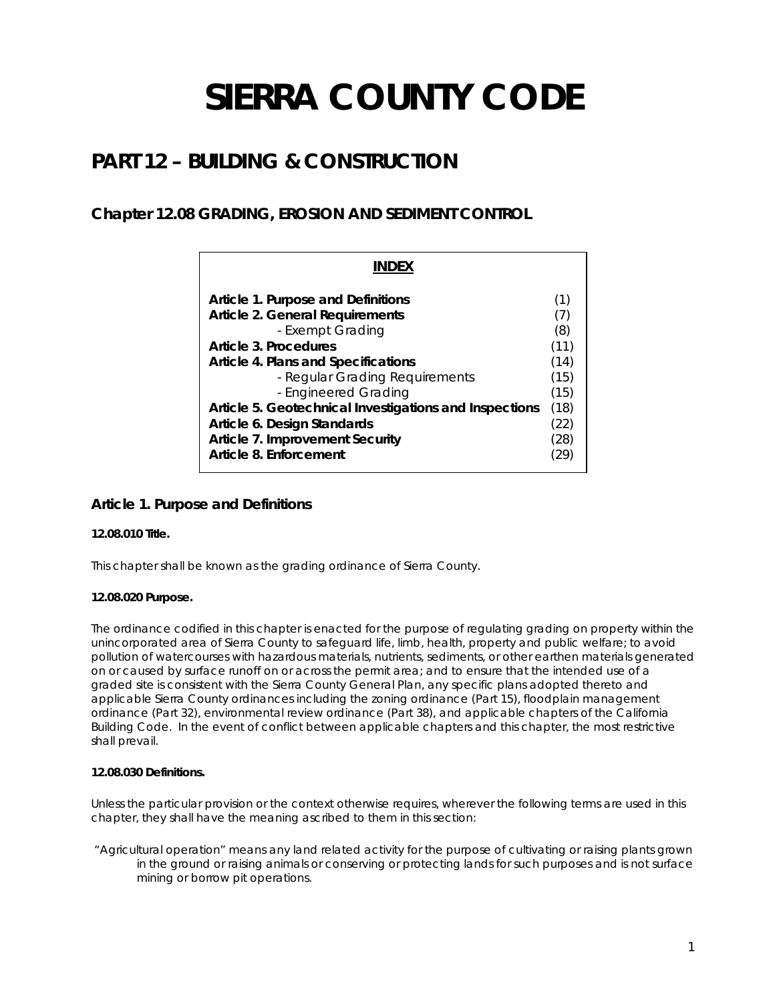# **SIERRA COUNTY CODE**

## **PART 12 – BUILDING & CONSTRUCTION**

## **Chapter 12.08 GRADING, EROSION AND SEDIMENT CONTROL**

| <b>INDFX</b>                                                                                                                                                                                                               |                                            |
|----------------------------------------------------------------------------------------------------------------------------------------------------------------------------------------------------------------------------|--------------------------------------------|
| Article 1. Purpose and Definitions<br>Article 2. General Requirements<br>- Exempt Grading<br>Article 3. Procedures<br><b>Article 4. Plans and Specifications</b><br>- Regular Grading Requirements<br>- Engineered Grading | (1)<br>(8)<br>(11)<br>(14)<br>(15)<br>(15) |
| Article 5. Geotechnical Investigations and Inspections<br>Article 6. Design Standards<br>Article 7. Improvement Security<br>Article 8. Enforcement                                                                         | (18)<br>(22)<br>(28)                       |

## **Article 1. Purpose and Definitions**

## **12.08.010 Title.**

This chapter shall be known as the grading ordinance of Sierra County.

## **12.08.020 Purpose.**

The ordinance codified in this chapter is enacted for the purpose of regulating grading on property within the unincorporated area of Sierra County to safeguard life, limb, health, property and public welfare; to avoid pollution of watercourses with hazardous materials, nutrients, sediments, or other earthen materials generated on or caused by surface runoff on or across the permit area; and to ensure that the intended use of a graded site is consistent with the Sierra County General Plan, any specific plans adopted thereto and applicable Sierra County ordinances including the zoning ordinance (Part 15), floodplain management ordinance (Part 32), environmental review ordinance (Part 38), and applicable chapters of the California Building Code. In the event of conflict between applicable chapters and this chapter, the most restrictive shall prevail.

## **12.08.030 Definitions.**

Unless the particular provision or the context otherwise requires, wherever the following terms are used in this chapter, they shall have the meaning ascribed to them in this section:

 "Agricultural operation" means any land related activity for the purpose of cultivating or raising plants grown in the ground or raising animals or conserving or protecting lands for such purposes and is not surface mining or borrow pit operations.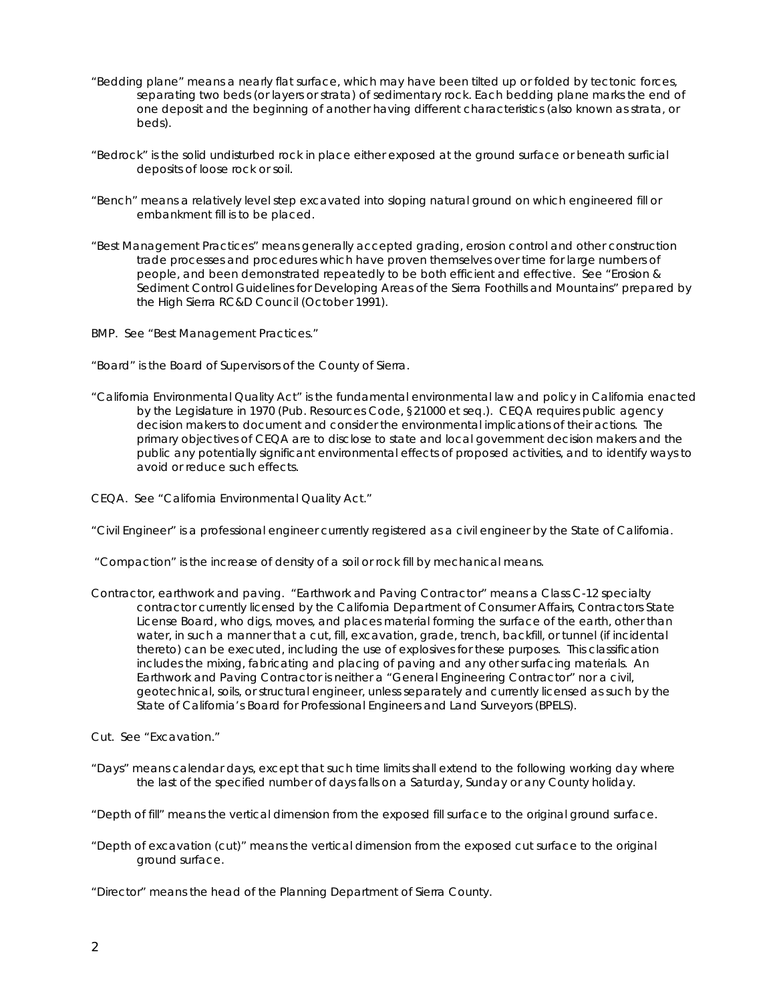- "Bedding plane" means a nearly flat surface, which may have been tilted up or folded by tectonic forces, separating two beds (or layers or strata) of sedimentary rock. Each bedding plane marks the end of one deposit and the beginning of another having different characteristics (also known as strata, or beds).
- "Bedrock" is the solid undisturbed rock in place either exposed at the ground surface or beneath surficial deposits of loose rock or soil.
- "Bench" means a relatively level step excavated into sloping natural ground on which engineered fill or embankment fill is to be placed.
- "Best Management Practices" means generally accepted grading, erosion control and other construction trade processes and procedures which have proven themselves over time for large numbers of people, and been demonstrated repeatedly to be both efficient and effective. See "Erosion & Sediment Control Guidelines for Developing Areas of the Sierra Foothills and Mountains" prepared by the High Sierra RC&D Council (October 1991).
- BMP. See "Best Management Practices."
- "Board" is the Board of Supervisors of the County of Sierra.
- "California Environmental Quality Act" is the fundamental environmental law and policy in California enacted by the Legislature in 1970 (Pub. Resources Code, §21000 *et seq.*). CEQA requires public agency decision makers to document and consider the environmental implications of their actions. The primary objectives of CEQA are to disclose to state and local government decision makers and the public any potentially significant environmental effects of proposed activities, and to identify ways to avoid or reduce such effects.
- CEQA. See "California Environmental Quality Act."
- "Civil Engineer" is a professional engineer currently registered as a civil engineer by the State of California.
- "Compaction" is the increase of density of a soil or rock fill by mechanical means.
- Contractor, earthwork and paving. "Earthwork and Paving Contractor" means a Class C-12 specialty contractor currently licensed by the California Department of Consumer Affairs, Contractors State License Board, who digs, moves, and places material forming the surface of the earth, other than water, in such a manner that a cut, fill, excavation, grade, trench, backfill, or tunnel (if incidental thereto) can be executed, including the use of explosives for these purposes. This classification includes the mixing, fabricating and placing of paving and any other surfacing materials. An Earthwork and Paving Contractor is neither a "General Engineering Contractor" nor a civil, geotechnical, soils, or structural engineer, unless separately and currently licensed as such by the State of California's Board for Professional Engineers and Land Surveyors (BPELS).
- Cut. See "Excavation."
- "Days" means calendar days, except that such time limits shall extend to the following working day where the last of the specified number of days falls on a Saturday, Sunday or any County holiday.
- "Depth of fill" means the vertical dimension from the exposed fill surface to the original ground surface.
- "Depth of excavation (cut)" means the vertical dimension from the exposed cut surface to the original ground surface.
- "Director" means the head of the Planning Department of Sierra County.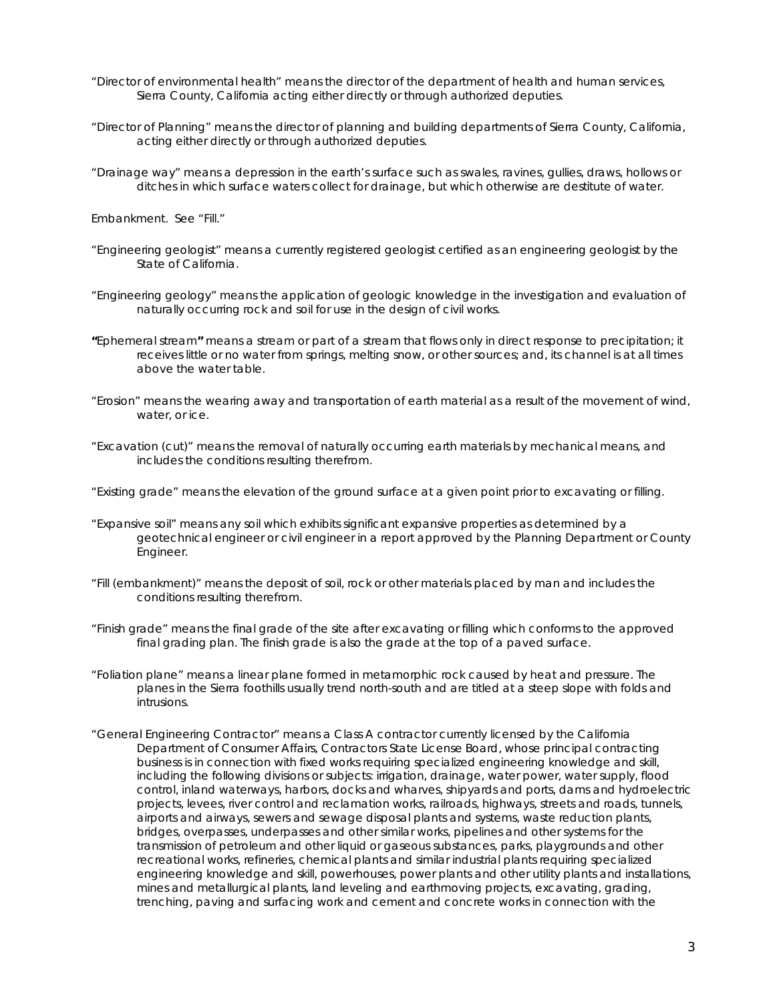- "Director of environmental health" means the director of the department of health and human services, Sierra County, California acting either directly or through authorized deputies.
- "Director of Planning" means the director of planning and building departments of Sierra County, California, acting either directly or through authorized deputies.
- "Drainage way" means a depression in the earth's surface such as swales, ravines, gullies, draws, hollows or ditches in which surface waters collect for drainage, but which otherwise are destitute of water.

Embankment. See "Fill."

- "Engineering geologist" means a currently registered geologist certified as an engineering geologist by the State of California.
- "Engineering geology" means the application of geologic knowledge in the investigation and evaluation of naturally occurring rock and soil for use in the design of civil works.
- **"**Ephemeral stream**"** means a stream or part of a stream that flows only in direct response to precipitation; it receives little or no water from springs, melting snow, or other sources; and, its channel is at all times above the water table.
- "Erosion" means the wearing away and transportation of earth material as a result of the movement of wind, water, or ice.
- "Excavation (cut)" means the removal of naturally occurring earth materials by mechanical means, and includes the conditions resulting therefrom.
- "Existing grade" means the elevation of the ground surface at a given point prior to excavating or filling.
- "Expansive soil" means any soil which exhibits significant expansive properties as determined by a geotechnical engineer or civil engineer in a report approved by the Planning Department or County Engineer.
- "Fill (embankment)" means the deposit of soil, rock or other materials placed by man and includes the conditions resulting therefrom.
- "Finish grade" means the final grade of the site after excavating or filling which conforms to the approved final grading plan. The finish grade is also the grade at the top of a paved surface.
- "Foliation plane" means a linear plane formed in metamorphic rock caused by heat and pressure. The planes in the Sierra foothills usually trend north-south and are titled at a steep slope with folds and intrusions.
- "General Engineering Contractor" means a Class A contractor currently licensed by the California Department of Consumer Affairs, Contractors State License Board, whose principal contracting business is in connection with fixed works requiring specialized engineering knowledge and skill, including the following divisions or subjects: irrigation, drainage, water power, water supply, flood control, inland waterways, harbors, docks and wharves, shipyards and ports, dams and hydroelectric projects, levees, river control and reclamation works, railroads, highways, streets and roads, tunnels, airports and airways, sewers and sewage disposal plants and systems, waste reduction plants, bridges, overpasses, underpasses and other similar works, pipelines and other systems for the transmission of petroleum and other liquid or gaseous substances, parks, playgrounds and other recreational works, refineries, chemical plants and similar industrial plants requiring specialized engineering knowledge and skill, powerhouses, power plants and other utility plants and installations, mines and metallurgical plants, land leveling and earthmoving projects, excavating, grading, trenching, paving and surfacing work and cement and concrete works in connection with the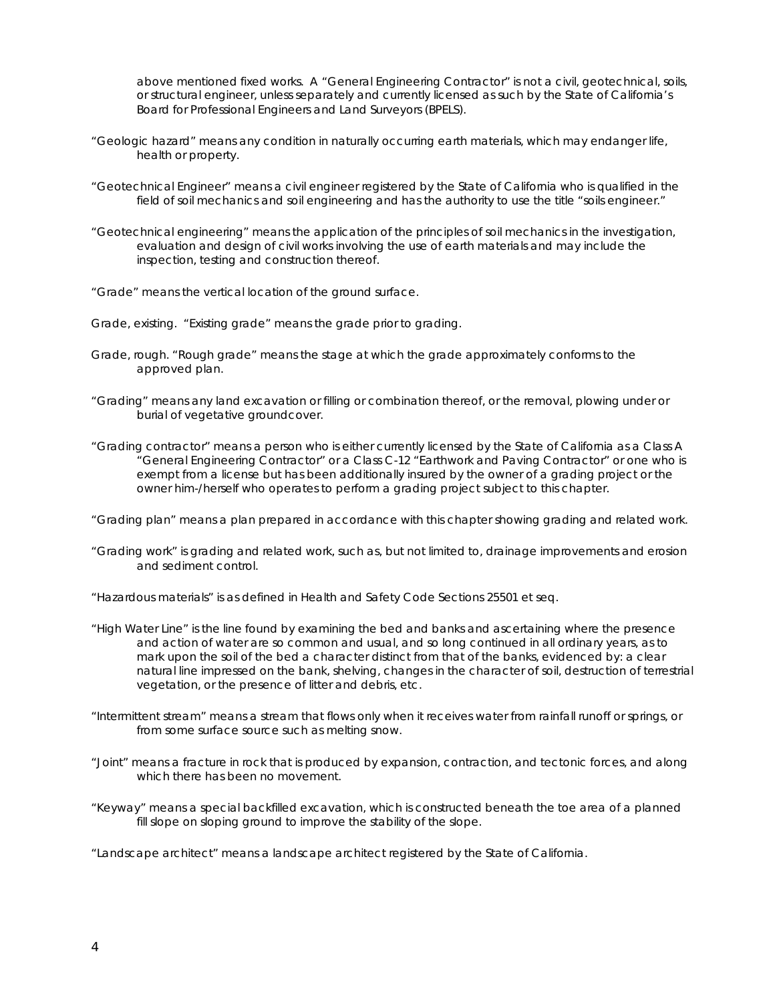above mentioned fixed works. A "General Engineering Contractor" is not a civil, geotechnical, soils, or structural engineer, unless separately and currently licensed as such by the State of California's Board for Professional Engineers and Land Surveyors (BPELS).

- "Geologic hazard" means any condition in naturally occurring earth materials, which may endanger life, health or property.
- "Geotechnical Engineer" means a civil engineer registered by the State of California who is qualified in the field of soil mechanics and soil engineering and has the authority to use the title "soils engineer."
- "Geotechnical engineering" means the application of the principles of soil mechanics in the investigation, evaluation and design of civil works involving the use of earth materials and may include the inspection, testing and construction thereof.
- "Grade" means the vertical location of the ground surface.

Grade, existing. "Existing grade" means the grade prior to grading.

- Grade, rough. "Rough grade" means the stage at which the grade approximately conforms to the approved plan.
- "Grading" means any land excavation or filling or combination thereof, or the removal, plowing under or burial of vegetative groundcover.
- "Grading contractor" means a person who is either currently licensed by the State of California as a Class A "General Engineering Contractor" or a Class C-12 "Earthwork and Paving Contractor" or one who is exempt from a license but has been additionally insured by the owner of a grading project or the owner him-/herself who operates to perform a grading project subject to this chapter.
- "Grading plan" means a plan prepared in accordance with this chapter showing grading and related work.
- "Grading work" is grading and related work, such as, but not limited to, drainage improvements and erosion and sediment control.
- "Hazardous materials" is as defined in Health and Safety Code Sections 25501 et seq.
- "High Water Line" is the line found by examining the bed and banks and ascertaining where the presence and action of water are so common and usual, and so long continued in all ordinary years, as to mark upon the soil of the bed a character distinct from that of the banks, evidenced by: a clear natural line impressed on the bank, shelving, changes in the character of soil, destruction of terrestrial vegetation, or the presence of litter and debris, etc.
- "Intermittent stream" means a stream that flows only when it receives water from rainfall runoff or springs, or from some surface source such as melting snow.
- "Joint" means a fracture in rock that is produced by expansion, contraction, and tectonic forces, and along which there has been no movement.
- "Keyway" means a special backfilled excavation, which is constructed beneath the toe area of a planned fill slope on sloping ground to improve the stability of the slope.
- "Landscape architect" means a landscape architect registered by the State of California.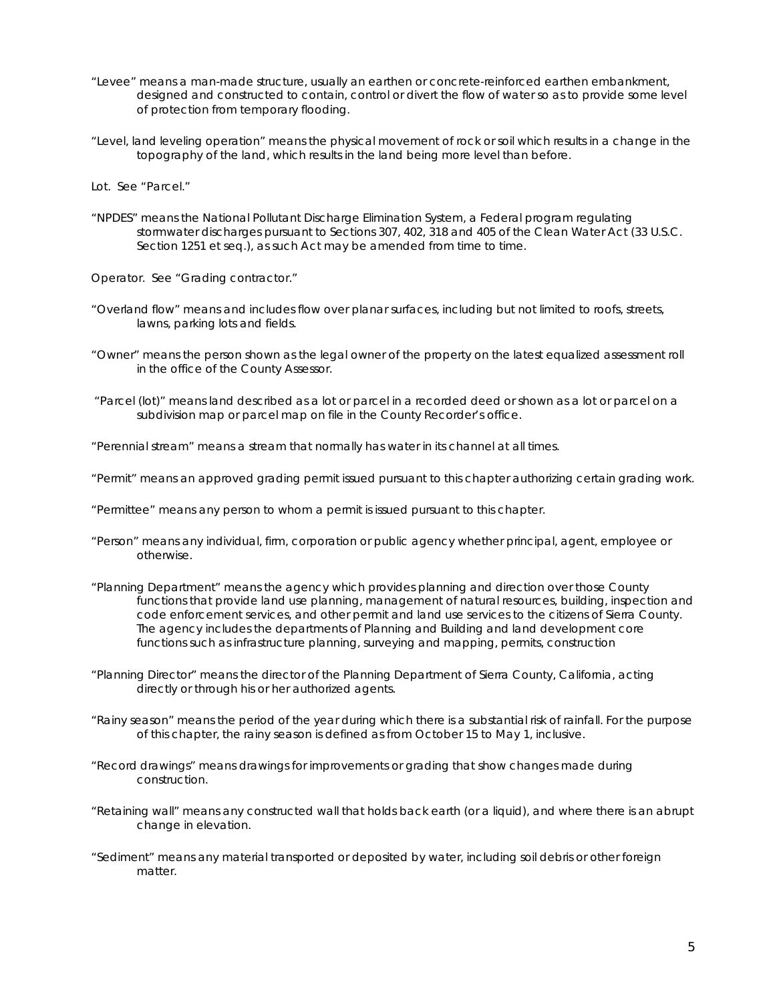- "Levee" means a man-made structure, usually an earthen or concrete-reinforced earthen embankment, designed and constructed to contain, control or divert the flow of water so as to provide some level of protection from temporary flooding.
- "Level, land leveling operation" means the physical movement of rock or soil which results in a change in the topography of the land, which results in the land being more level than before.

Lot. See "Parcel."

"NPDES" means the National Pollutant Discharge Elimination System, a Federal program regulating stormwater discharges pursuant to Sections 307, 402, 318 and 405 of the Clean Water Act (33 U.S.C. Section 1251 et seq.), as such Act may be amended from time to time.

Operator. See "Grading contractor."

- "Overland flow" means and includes flow over planar surfaces, including but not limited to roofs, streets, lawns, parking lots and fields.
- "Owner" means the person shown as the legal owner of the property on the latest equalized assessment roll in the office of the County Assessor.
- "Parcel (lot)" means land described as a lot or parcel in a recorded deed or shown as a lot or parcel on a subdivision map or parcel map on file in the County Recorder's office.
- "Perennial stream" means a stream that normally has water in its channel at all times.
- "Permit" means an approved grading permit issued pursuant to this chapter authorizing certain grading work.
- "Permittee" means any person to whom a permit is issued pursuant to this chapter.
- "Person" means any individual, firm, corporation or public agency whether principal, agent, employee or otherwise.
- "Planning Department" means the agency which provides planning and direction over those County functions that provide land use planning, management of natural resources, building, inspection and code enforcement services, and other permit and land use services to the citizens of Sierra County. The agency includes the departments of Planning and Building and land development core functions such as infrastructure planning, surveying and mapping, permits, construction
- "Planning Director" means the director of the Planning Department of Sierra County, California, acting directly or through his or her authorized agents.
- "Rainy season" means the period of the year during which there is a substantial risk of rainfall. For the purpose of this chapter, the rainy season is defined as from October 15 to May 1, inclusive.
- "Record drawings" means drawings for improvements or grading that show changes made during construction.
- "Retaining wall" means any constructed wall that holds back earth (or a liquid), and where there is an abrupt change in elevation.
- "Sediment" means any material transported or deposited by water, including soil debris or other foreign matter.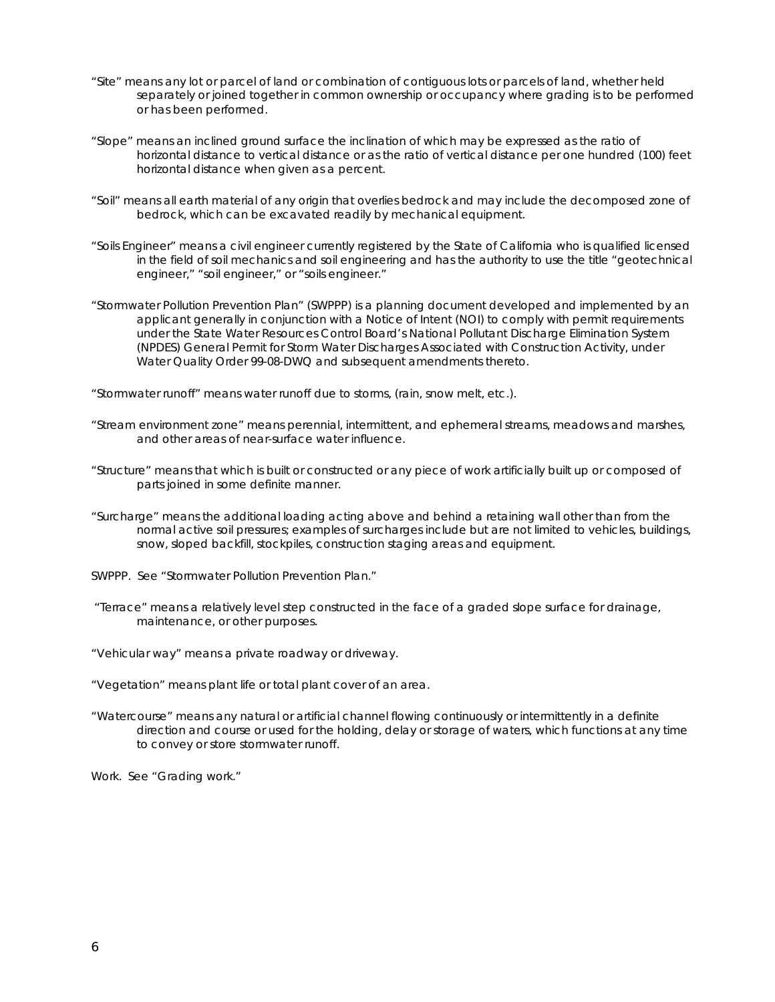- "Site" means any lot or parcel of land or combination of contiguous lots or parcels of land, whether held separately or joined together in common ownership or occupancy where grading is to be performed or has been performed.
- "Slope" means an inclined ground surface the inclination of which may be expressed as the ratio of horizontal distance to vertical distance or as the ratio of vertical distance per one hundred (100) feet horizontal distance when given as a percent.
- "Soil" means all earth material of any origin that overlies bedrock and may include the decomposed zone of bedrock, which can be excavated readily by mechanical equipment.
- "Soils Engineer" means a civil engineer currently registered by the State of California who is qualified licensed in the field of soil mechanics and soil engineering and has the authority to use the title "geotechnical engineer," "soil engineer," or "soils engineer."
- "Stormwater Pollution Prevention Plan" (SWPPP) is a planning document developed and implemented by an applicant generally in conjunction with a Notice of Intent (NOI) to comply with permit requirements under the State Water Resources Control Board's National Pollutant Discharge Elimination System (NPDES) General Permit for Storm Water Discharges Associated with Construction Activity, under Water Quality Order 99-08-DWQ and subsequent amendments thereto.
- "Stormwater runoff" means water runoff due to storms, (rain, snow melt, etc.).
- "Stream environment zone" means perennial, intermittent, and ephemeral streams, meadows and marshes, and other areas of near-surface water influence.
- "Structure" means that which is built or constructed or any piece of work artificially built up or composed of parts joined in some definite manner.
- "Surcharge" means the additional loading acting above and behind a retaining wall other than from the normal active soil pressures; examples of surcharges include but are not limited to vehicles, buildings, snow, sloped backfill, stockpiles, construction staging areas and equipment.
- SWPPP. See "Stormwater Pollution Prevention Plan."
- "Terrace" means a relatively level step constructed in the face of a graded slope surface for drainage, maintenance, or other purposes.
- "Vehicular way" means a private roadway or driveway.
- "Vegetation" means plant life or total plant cover of an area.
- "Watercourse" means any natural or artificial channel flowing continuously or intermittently in a definite direction and course or used for the holding, delay or storage of waters, which functions at any time to convey or store stormwater runoff.

Work. See "Grading work."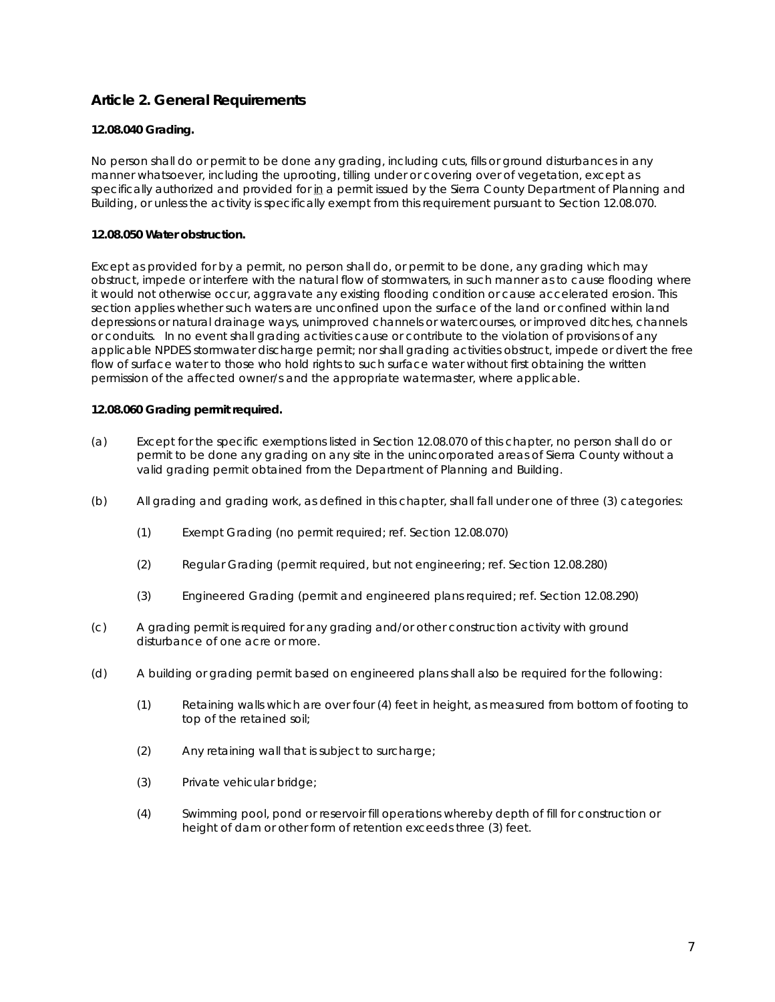## **Article 2. General Requirements**

#### **12.08.040 Grading.**

No person shall do or permit to be done any grading, including cuts, fills or ground disturbances in any manner whatsoever, including the uprooting, tilling under or covering over of vegetation, except as specifically authorized and provided for in a permit issued by the Sierra County Department of Planning and Building, or unless the activity is specifically exempt from this requirement pursuant to Section 12.08.070.

#### **12.08.050 Water obstruction.**

Except as provided for by a permit, no person shall do, or permit to be done, any grading which may obstruct, impede or interfere with the natural flow of stormwaters, in such manner as to cause flooding where it would not otherwise occur, aggravate any existing flooding condition or cause accelerated erosion. This section applies whether such waters are unconfined upon the surface of the land or confined within land depressions or natural drainage ways, unimproved channels or watercourses, or improved ditches, channels or conduits. In no event shall grading activities cause or contribute to the violation of provisions of any applicable NPDES stormwater discharge permit; nor shall grading activities obstruct, impede or divert the free flow of surface water to those who hold rights to such surface water without first obtaining the written permission of the affected owner/s and the appropriate watermaster, where applicable.

#### **12.08.060 Grading permit required.**

- (a) Except for the specific exemptions listed in Section 12.08.070 of this chapter, no person shall do or permit to be done any grading on any site in the unincorporated areas of Sierra County without a valid grading permit obtained from the Department of Planning and Building.
- (b) All grading and grading work, as defined in this chapter, shall fall under one of three (3) categories:
	- (1) Exempt Grading (no permit required; ref. Section 12.08.070)
	- (2) Regular Grading (permit required, but not engineering; ref. Section 12.08.280)
	- (3) Engineered Grading (permit and engineered plans required; ref. Section 12.08.290)
- (c) A grading permit is required for any grading and/or other construction activity with ground disturbance of one acre or more.
- (d) A building or grading permit based on engineered plans shall also be required for the following:
	- (1) Retaining walls which are over four (4) feet in height, as measured from bottom of footing to top of the retained soil;
	- (2) Any retaining wall that is subject to surcharge;
	- (3) Private vehicular bridge;
	- (4) Swimming pool, pond or reservoir fill operations whereby depth of fill for construction or height of dam or other form of retention exceeds three (3) feet.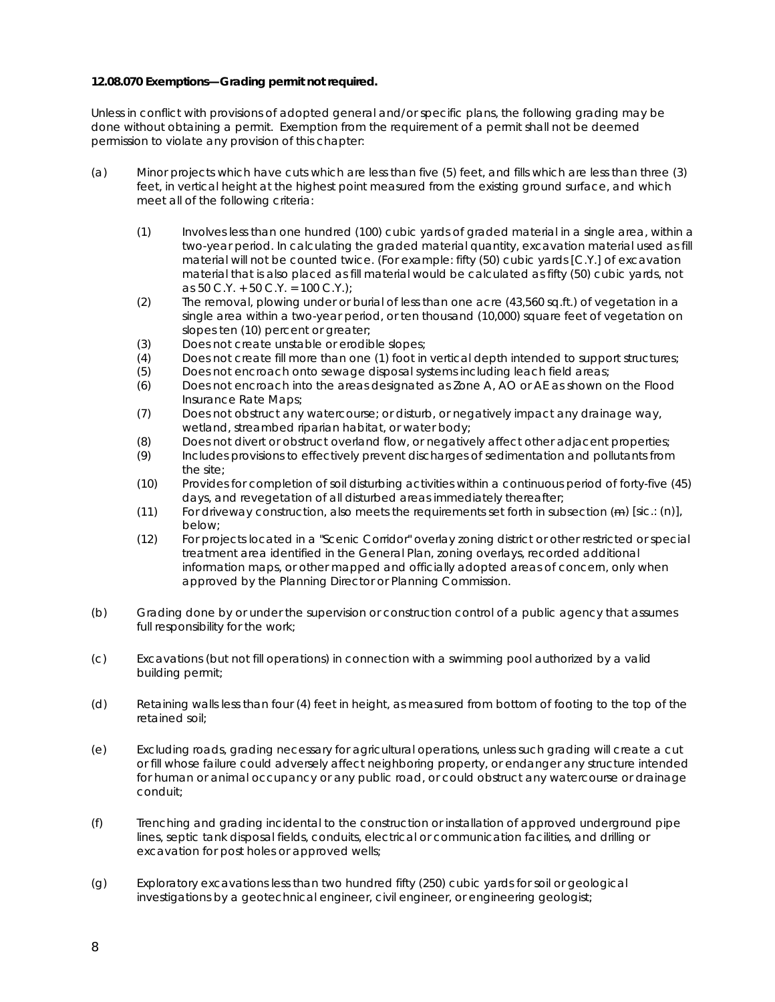#### **12.08.070 Exemptions—Grading permit not required.**

Unless in conflict with provisions of adopted general and/or specific plans, the following grading may be done without obtaining a permit. Exemption from the requirement of a permit shall not be deemed permission to violate any provision of this chapter:

- (a) Minor projects which have cuts which are less than five (5) feet, and fills which are less than three (3) feet, in vertical height at the highest point measured from the existing ground surface, and which meet all of the following criteria:
	- (1) Involves less than one hundred (100) cubic yards of graded material in a single area, within a two-year period. In calculating the graded material quantity, excavation material used as fill material will not be counted twice. (For example: fifty (50) cubic yards [C.Y.] of excavation material that is also placed as fill material would be calculated as fifty (50) cubic yards, not as 50 C.Y. + 50 C.Y. = 100 C.Y.);
	- (2) The removal, plowing under or burial of less than one acre (43,560 sq.ft.) of vegetation in a single area within a two-year period, or ten thousand (10,000) square feet of vegetation on slopes ten (10) percent or greater;
	- (3) Does not create unstable or erodible slopes;
	- (4) Does not create fill more than one (1) foot in vertical depth intended to support structures;
	- (5) Does not encroach onto sewage disposal systems including leach field areas;
	- (6) Does not encroach into the areas designated as Zone A, AO or AE as shown on the Flood Insurance Rate Maps;
	- (7) Does not obstruct any watercourse; or disturb, or negatively impact any drainage way, wetland, streambed riparian habitat, or water body;
	- (8) Does not divert or obstruct overland flow, or negatively affect other adjacent properties;
	- (9) Includes provisions to effectively prevent discharges of sedimentation and pollutants from the site;
	- (10) Provides for completion of soil disturbing activities within a continuous period of forty-five (45) days, and revegetation of all disturbed areas immediately thereafter;
	- (11) For driveway construction, also meets the requirements set forth in subsection  $(\mathbf{m})$  [sic.:  $(n)$ ], below;
	- (12) For projects located in a "Scenic Corridor" overlay zoning district or other restricted or special treatment area identified in the General Plan, zoning overlays, recorded additional information maps, or other mapped and officially adopted areas of concern, only when approved by the Planning Director or Planning Commission.
- (b) Grading done by or under the supervision or construction control of a public agency that assumes full responsibility for the work;
- (c) Excavations (but not fill operations) in connection with a swimming pool authorized by a valid building permit;
- (d) Retaining walls less than four (4) feet in height, as measured from bottom of footing to the top of the retained soil;
- (e) Excluding roads, grading necessary for agricultural operations, unless such grading will create a cut or fill whose failure could adversely affect neighboring property, or endanger any structure intended for human or animal occupancy or any public road, or could obstruct any watercourse or drainage conduit;
- (f) Trenching and grading incidental to the construction or installation of approved underground pipe lines, septic tank disposal fields, conduits, electrical or communication facilities, and drilling or excavation for post holes or approved wells;
- (g) Exploratory excavations less than two hundred fifty (250) cubic yards for soil or geological investigations by a geotechnical engineer, civil engineer, or engineering geologist;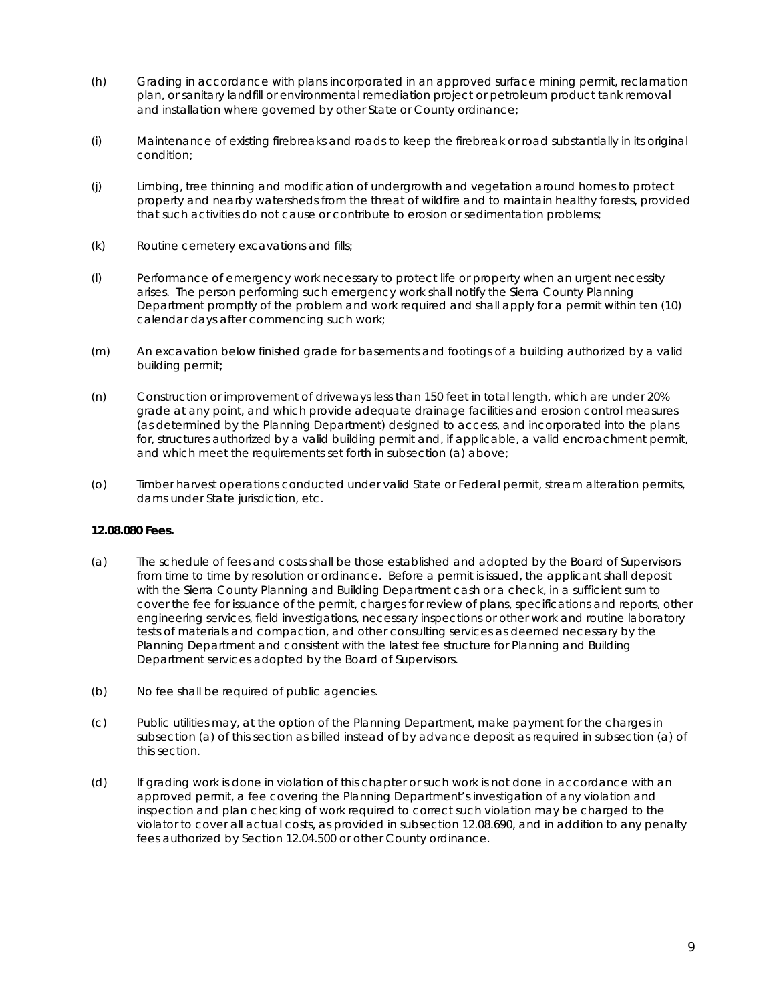- (h) Grading in accordance with plans incorporated in an approved surface mining permit, reclamation plan, or sanitary landfill or environmental remediation project or petroleum product tank removal and installation where governed by other State or County ordinance;
- (i) Maintenance of existing firebreaks and roads to keep the firebreak or road substantially in its original condition;
- (j) Limbing, tree thinning and modification of undergrowth and vegetation around homes to protect property and nearby watersheds from the threat of wildfire and to maintain healthy forests, provided that such activities do not cause or contribute to erosion or sedimentation problems;
- (k) Routine cemetery excavations and fills;
- (l) Performance of emergency work necessary to protect life or property when an urgent necessity arises. The person performing such emergency work shall notify the Sierra County Planning Department promptly of the problem and work required and shall apply for a permit within ten (10) calendar days after commencing such work;
- (m) An excavation below finished grade for basements and footings of a building authorized by a valid building permit;
- (n) Construction or improvement of driveways less than 150 feet in total length, which are under 20% grade at any point, and which provide adequate drainage facilities and erosion control measures (as determined by the Planning Department) designed to access, and incorporated into the plans for, structures authorized by a valid building permit and, if applicable, a valid encroachment permit, and which meet the requirements set forth in subsection (a) above;
- (o) Timber harvest operations conducted under valid State or Federal permit, stream alteration permits, dams under State jurisdiction, etc.

#### **12.08.080 Fees.**

- (a) The schedule of fees and costs shall be those established and adopted by the Board of Supervisors from time to time by resolution or ordinance. Before a permit is issued, the applicant shall deposit with the Sierra County Planning and Building Department cash or a check, in a sufficient sum to cover the fee for issuance of the permit, charges for review of plans, specifications and reports, other engineering services, field investigations, necessary inspections or other work and routine laboratory tests of materials and compaction, and other consulting services as deemed necessary by the Planning Department and consistent with the latest fee structure for Planning and Building Department services adopted by the Board of Supervisors.
- (b) No fee shall be required of public agencies.
- (c) Public utilities may, at the option of the Planning Department, make payment for the charges in subsection (a) of this section as billed instead of by advance deposit as required in subsection (a) of this section.
- (d) If grading work is done in violation of this chapter or such work is not done in accordance with an approved permit, a fee covering the Planning Department's investigation of any violation and inspection and plan checking of work required to correct such violation may be charged to the violator to cover all actual costs, as provided in subsection 12.08.690, and in addition to any penalty fees authorized by Section 12.04.500 or other County ordinance.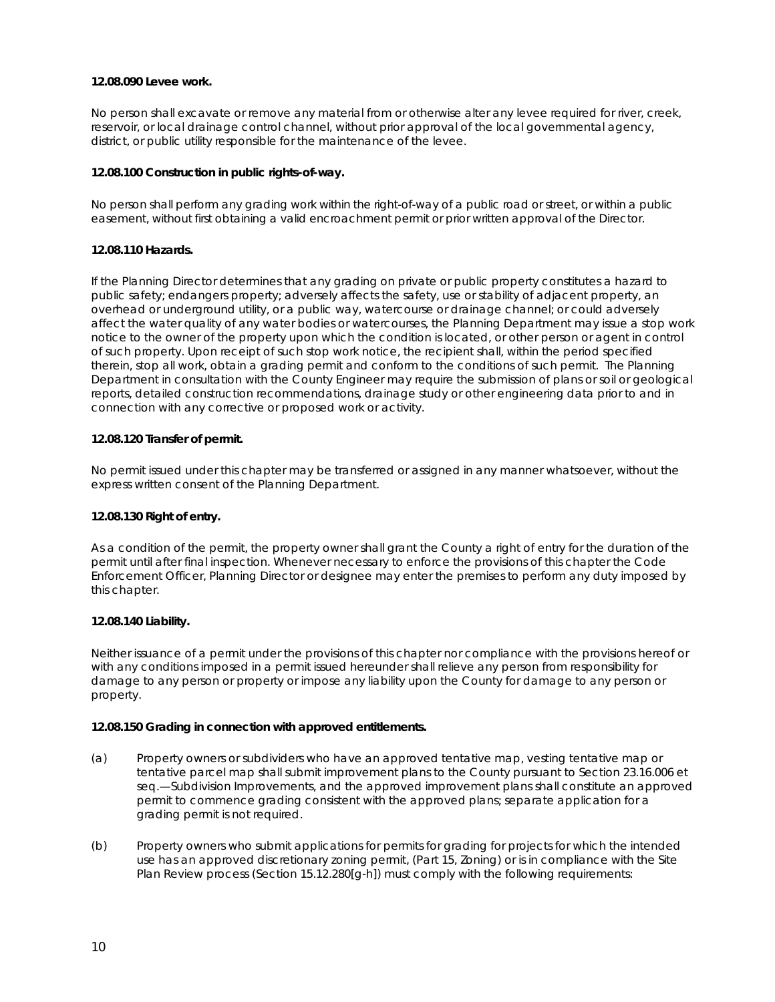#### **12.08.090 Levee work.**

No person shall excavate or remove any material from or otherwise alter any levee required for river, creek, reservoir, or local drainage control channel, without prior approval of the local governmental agency, district, or public utility responsible for the maintenance of the levee.

#### **12.08.100 Construction in public rights-of-way.**

No person shall perform any grading work within the right-of-way of a public road or street, or within a public easement, without first obtaining a valid encroachment permit or prior written approval of the Director.

#### **12.08.110 Hazards.**

If the Planning Director determines that any grading on private or public property constitutes a hazard to public safety; endangers property; adversely affects the safety, use or stability of adjacent property, an overhead or underground utility, or a public way, watercourse or drainage channel; or could adversely affect the water quality of any water bodies or watercourses, the Planning Department may issue a stop work notice to the owner of the property upon which the condition is located, or other person or agent in control of such property. Upon receipt of such stop work notice, the recipient shall, within the period specified therein, stop all work, obtain a grading permit and conform to the conditions of such permit. The Planning Department in consultation with the County Engineer may require the submission of plans or soil or geological reports, detailed construction recommendations, drainage study or other engineering data prior to and in connection with any corrective or proposed work or activity.

#### **12.08.120 Transfer of permit.**

No permit issued under this chapter may be transferred or assigned in any manner whatsoever, without the express written consent of the Planning Department.

#### **12.08.130 Right of entry.**

As a condition of the permit, the property owner shall grant the County a right of entry for the duration of the permit until after final inspection. Whenever necessary to enforce the provisions of this chapter the Code Enforcement Officer, Planning Director or designee may enter the premises to perform any duty imposed by this chapter.

#### **12.08.140 Liability.**

Neither issuance of a permit under the provisions of this chapter nor compliance with the provisions hereof or with any conditions imposed in a permit issued hereunder shall relieve any person from responsibility for damage to any person or property or impose any liability upon the County for damage to any person or property.

#### **12.08.150 Grading in connection with approved entitlements.**

- (a) Property owners or subdividers who have an approved tentative map, vesting tentative map or tentative parcel map shall submit improvement plans to the County pursuant to Section 23.16.006 et seq.—Subdivision Improvements, and the approved improvement plans shall constitute an approved permit to commence grading consistent with the approved plans; separate application for a grading permit is not required.
- (b) Property owners who submit applications for permits for grading for projects for which the intended use has an approved discretionary zoning permit, (Part 15, Zoning) or is in compliance with the Site Plan Review process (Section 15.12.280[g-h]) must comply with the following requirements: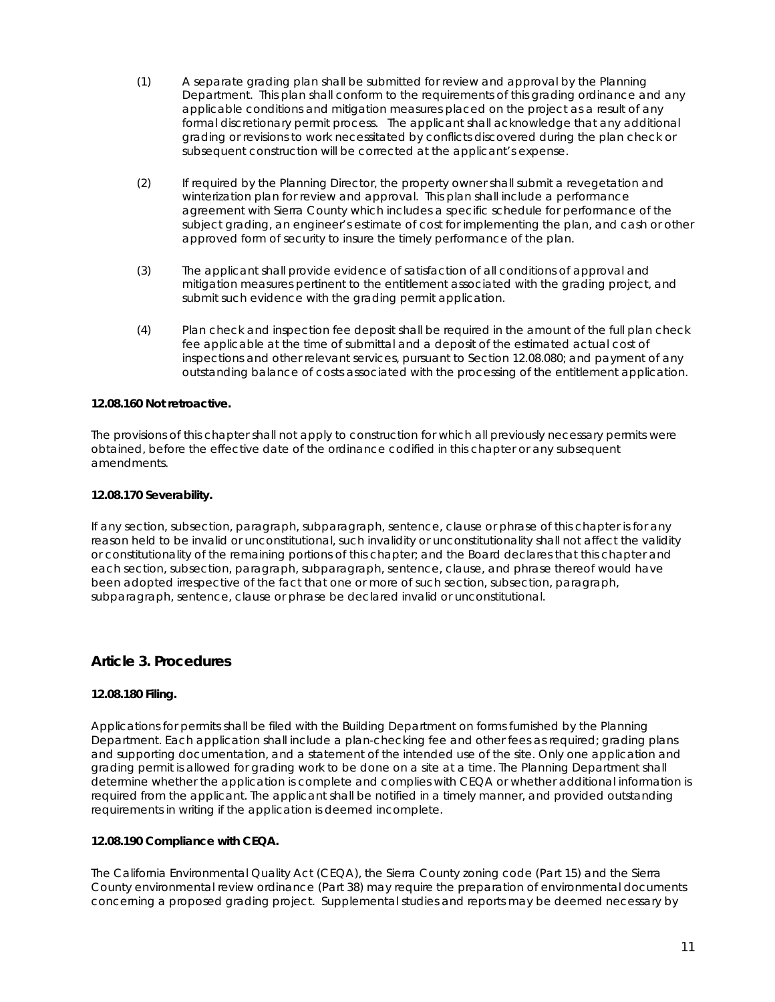- (1) A separate grading plan shall be submitted for review and approval by the Planning Department. This plan shall conform to the requirements of this grading ordinance and any applicable conditions and mitigation measures placed on the project as a result of any formal discretionary permit process. The applicant shall acknowledge that any additional grading or revisions to work necessitated by conflicts discovered during the plan check or subsequent construction will be corrected at the applicant's expense.
- (2) If required by the Planning Director, the property owner shall submit a revegetation and winterization plan for review and approval. This plan shall include a performance agreement with Sierra County which includes a specific schedule for performance of the subject grading, an engineer's estimate of cost for implementing the plan, and cash or other approved form of security to insure the timely performance of the plan.
- (3) The applicant shall provide evidence of satisfaction of all conditions of approval and mitigation measures pertinent to the entitlement associated with the grading project, and submit such evidence with the grading permit application.
- (4) Plan check and inspection fee deposit shall be required in the amount of the full plan check fee applicable at the time of submittal and a deposit of the estimated actual cost of inspections and other relevant services, pursuant to Section 12.08.080; and payment of any outstanding balance of costs associated with the processing of the entitlement application.

#### **12.08.160 Not retroactive.**

The provisions of this chapter shall not apply to construction for which all previously necessary permits were obtained, before the effective date of the ordinance codified in this chapter or any subsequent amendments.

#### **12.08.170 Severability.**

If any section, subsection, paragraph, subparagraph, sentence, clause or phrase of this chapter is for any reason held to be invalid or unconstitutional, such invalidity or unconstitutionality shall not affect the validity or constitutionality of the remaining portions of this chapter; and the Board declares that this chapter and each section, subsection, paragraph, subparagraph, sentence, clause, and phrase thereof would have been adopted irrespective of the fact that one or more of such section, subsection, paragraph, subparagraph, sentence, clause or phrase be declared invalid or unconstitutional.

## **Article 3. Procedures**

#### **12.08.180 Filing.**

Applications for permits shall be filed with the Building Department on forms furnished by the Planning Department. Each application shall include a plan-checking fee and other fees as required; grading plans and supporting documentation, and a statement of the intended use of the site. Only one application and grading permit is allowed for grading work to be done on a site at a time. The Planning Department shall determine whether the application is complete and complies with CEQA or whether additional information is required from the applicant. The applicant shall be notified in a timely manner, and provided outstanding requirements in writing if the application is deemed incomplete.

#### **12.08.190 Compliance with CEQA.**

The California Environmental Quality Act (CEQA), the Sierra County zoning code (Part 15) and the Sierra County environmental review ordinance (Part 38) may require the preparation of environmental documents concerning a proposed grading project. Supplemental studies and reports may be deemed necessary by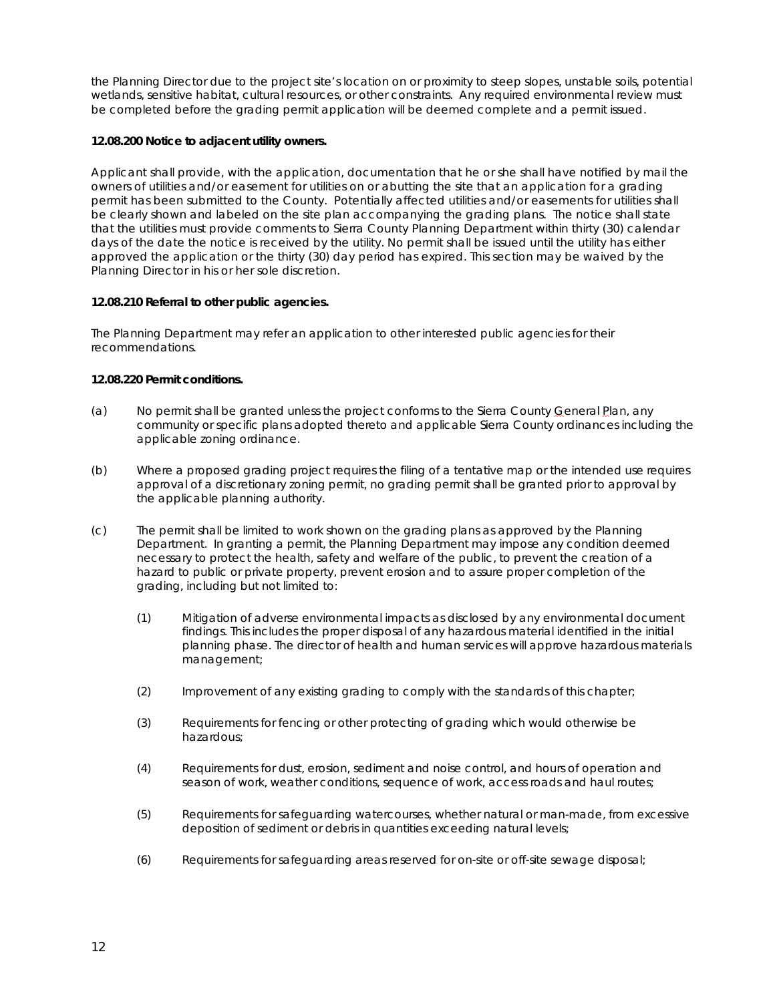the Planning Director due to the project site's location on or proximity to steep slopes, unstable soils, potential wetlands, sensitive habitat, cultural resources, or other constraints. Any required environmental review must be completed before the grading permit application will be deemed complete and a permit issued.

#### **12.08.200 Notice to adjacent utility owners.**

Applicant shall provide, with the application, documentation that he or she shall have notified by mail the owners of utilities and/or easement for utilities on or abutting the site that an application for a grading permit has been submitted to the County. Potentially affected utilities and/or easements for utilities shall be clearly shown and labeled on the site plan accompanying the grading plans. The notice shall state that the utilities must provide comments to Sierra County Planning Department within thirty (30) calendar days of the date the notice is received by the utility. No permit shall be issued until the utility has either approved the application or the thirty (30) day period has expired. This section may be waived by the Planning Director in his or her sole discretion.

#### **12.08.210 Referral to other public agencies.**

The Planning Department may refer an application to other interested public agencies for their recommendations.

#### **12.08.220 Permit conditions.**

- (a) No permit shall be granted unless the project conforms to the Sierra County General Plan, any community or specific plans adopted thereto and applicable Sierra County ordinances including the applicable zoning ordinance.
- (b) Where a proposed grading project requires the filing of a tentative map or the intended use requires approval of a discretionary zoning permit, no grading permit shall be granted prior to approval by the applicable planning authority.
- (c) The permit shall be limited to work shown on the grading plans as approved by the Planning Department. In granting a permit, the Planning Department may impose any condition deemed necessary to protect the health, safety and welfare of the public, to prevent the creation of a hazard to public or private property, prevent erosion and to assure proper completion of the grading, including but not limited to:
	- (1) Mitigation of adverse environmental impacts as disclosed by any environmental document findings. This includes the proper disposal of any hazardous material identified in the initial planning phase. The director of health and human services will approve hazardous materials management;
	- (2) Improvement of any existing grading to comply with the standards of this chapter;
	- (3) Requirements for fencing or other protecting of grading which would otherwise be hazardous;
	- (4) Requirements for dust, erosion, sediment and noise control, and hours of operation and season of work, weather conditions, sequence of work, access roads and haul routes;
	- (5) Requirements for safeguarding watercourses, whether natural or man-made, from excessive deposition of sediment or debris in quantities exceeding natural levels;
	- (6) Requirements for safeguarding areas reserved for on-site or off-site sewage disposal;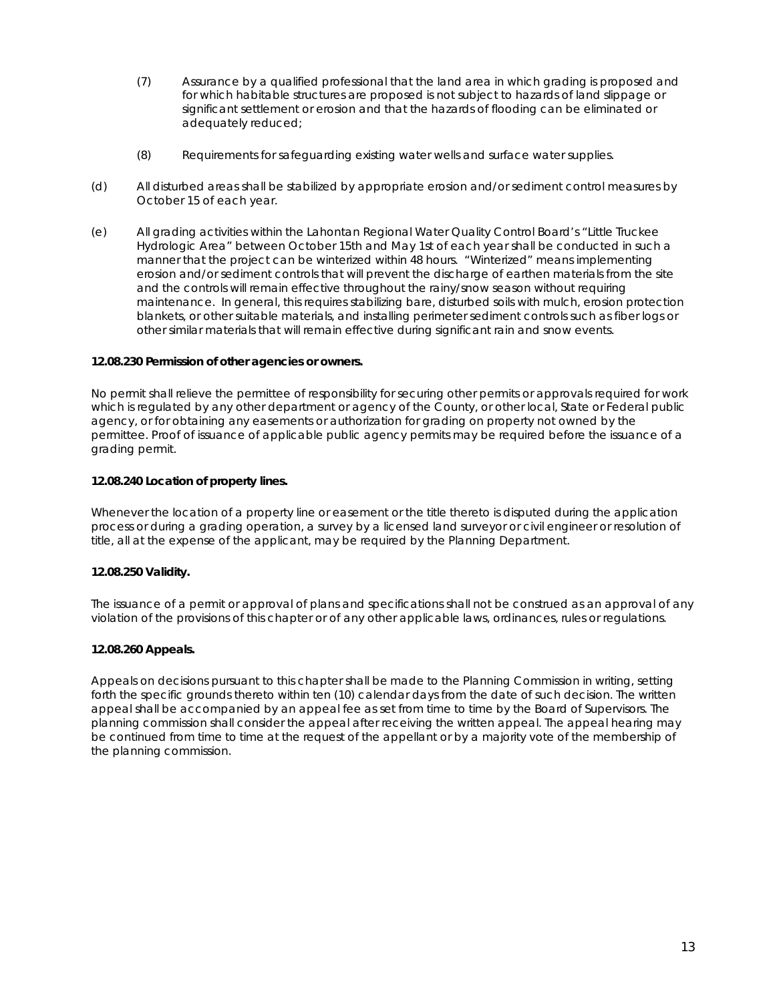- (7) Assurance by a qualified professional that the land area in which grading is proposed and for which habitable structures are proposed is not subject to hazards of land slippage or significant settlement or erosion and that the hazards of flooding can be eliminated or adequately reduced;
- (8) Requirements for safeguarding existing water wells and surface water supplies.
- (d) All disturbed areas shall be stabilized by appropriate erosion and/or sediment control measures by October 15 of each year.
- (e) All grading activities within the Lahontan Regional Water Quality Control Board's "Little Truckee Hydrologic Area" between October 15th and May 1st of each year shall be conducted in such a manner that the project can be winterized within 48 hours. "Winterized" means implementing erosion and/or sediment controls that will prevent the discharge of earthen materials from the site and the controls will remain effective throughout the rainy/snow season without requiring maintenance. In general, this requires stabilizing bare, disturbed soils with mulch, erosion protection blankets, or other suitable materials, and installing perimeter sediment controls such as fiber logs or other similar materials that will remain effective during significant rain and snow events.

#### **12.08.230 Permission of other agencies or owners.**

No permit shall relieve the permittee of responsibility for securing other permits or approvals required for work which is regulated by any other department or agency of the County, or other local, State or Federal public agency, or for obtaining any easements or authorization for grading on property not owned by the permittee. Proof of issuance of applicable public agency permits may be required before the issuance of a grading permit.

#### **12.08.240 Location of property lines.**

Whenever the location of a property line or easement or the title thereto is disputed during the application process or during a grading operation, a survey by a licensed land surveyor or civil engineer or resolution of title, all at the expense of the applicant, may be required by the Planning Department.

#### **12.08.250 Validity.**

The issuance of a permit or approval of plans and specifications shall not be construed as an approval of any violation of the provisions of this chapter or of any other applicable laws, ordinances, rules or regulations.

#### **12.08.260 Appeals.**

Appeals on decisions pursuant to this chapter shall be made to the Planning Commission in writing, setting forth the specific grounds thereto within ten (10) calendar days from the date of such decision. The written appeal shall be accompanied by an appeal fee as set from time to time by the Board of Supervisors. The planning commission shall consider the appeal after receiving the written appeal. The appeal hearing may be continued from time to time at the request of the appellant or by a majority vote of the membership of the planning commission.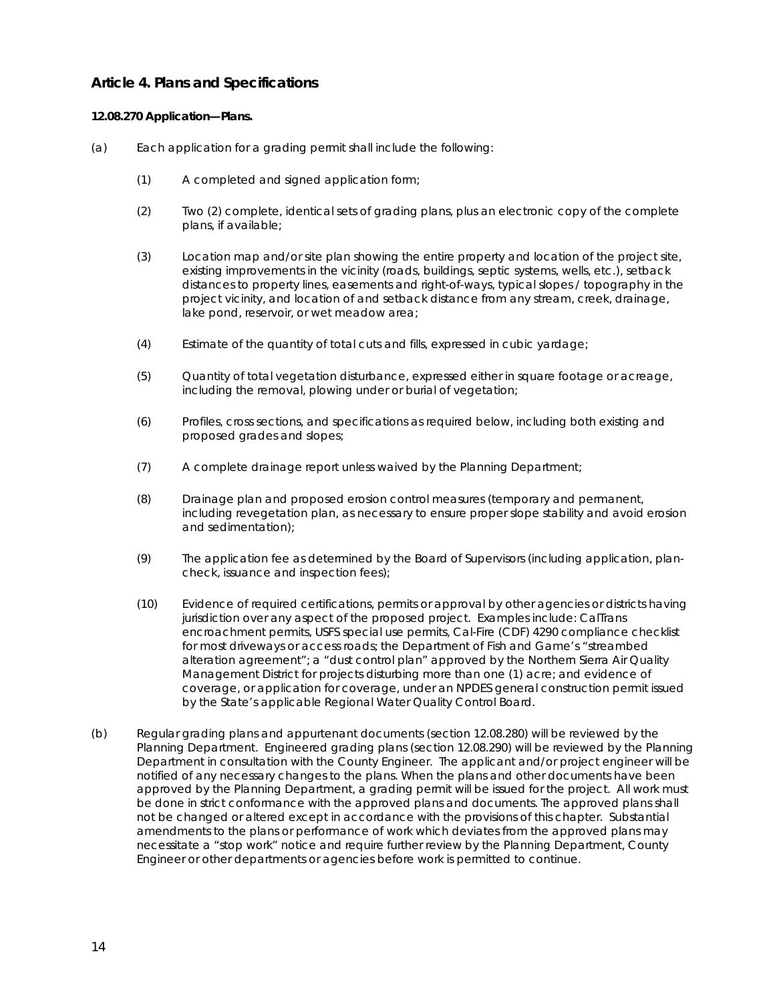## **Article 4. Plans and Specifications**

#### **12.08.270 Application—Plans.**

- (a) Each application for a grading permit shall include the following:
	- (1) A completed and signed application form;
	- (2) Two (2) complete, identical sets of grading plans, plus an electronic copy of the complete plans, if available;
	- (3) Location map and/or site plan showing the entire property and location of the project site, existing improvements in the vicinity (roads, buildings, septic systems, wells, etc.), setback distances to property lines, easements and right-of-ways, typical slopes / topography in the project vicinity, and location of and setback distance from any stream, creek, drainage, lake pond, reservoir, or wet meadow area;
	- (4) Estimate of the quantity of total cuts and fills, expressed in cubic yardage;
	- (5) Quantity of total vegetation disturbance, expressed either in square footage or acreage, including the removal, plowing under or burial of vegetation;
	- (6) Profiles, cross sections, and specifications as required below, including both existing and proposed grades and slopes;
	- (7) A complete drainage report unless waived by the Planning Department;
	- (8) Drainage plan and proposed erosion control measures (temporary and permanent, including revegetation plan, as necessary to ensure proper slope stability and avoid erosion and sedimentation);
	- (9) The application fee as determined by the Board of Supervisors (including application, plancheck, issuance and inspection fees);
	- (10) Evidence of required certifications, permits or approval by other agencies or districts having jurisdiction over any aspect of the proposed project. Examples include: CalTrans encroachment permits, USFS special use permits, Cal-Fire (CDF) 4290 compliance checklist for most driveways or access roads; the Department of Fish and Game's "streambed alteration agreement"; a "dust control plan" approved by the Northern Sierra Air Quality Management District for projects disturbing more than one (1) acre; and evidence of coverage, or application for coverage, under an NPDES general construction permit issued by the State's applicable Regional Water Quality Control Board.
- (b) Regular grading plans and appurtenant documents (section 12.08.280) will be reviewed by the Planning Department. Engineered grading plans (section 12.08.290) will be reviewed by the Planning Department in consultation with the County Engineer. The applicant and/or project engineer will be notified of any necessary changes to the plans. When the plans and other documents have been approved by the Planning Department, a grading permit will be issued for the project. All work must be done in strict conformance with the approved plans and documents. The approved plans shall not be changed or altered except in accordance with the provisions of this chapter. Substantial amendments to the plans or performance of work which deviates from the approved plans may necessitate a "stop work" notice and require further review by the Planning Department, County Engineer or other departments or agencies before work is permitted to continue.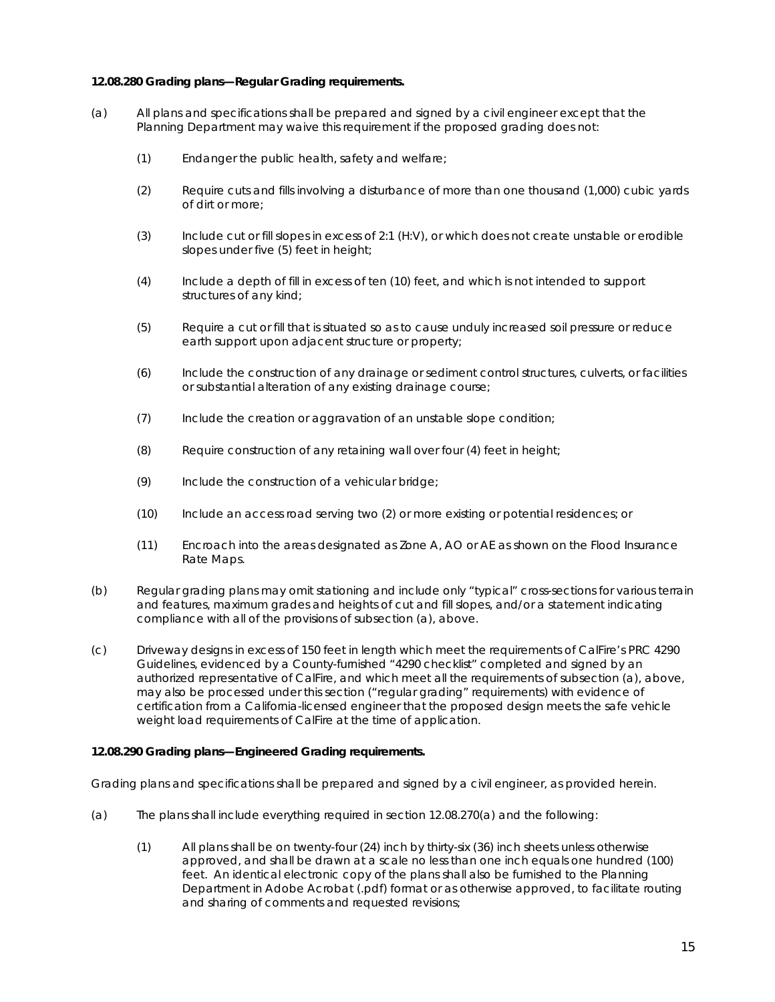#### **12.08.280 Grading plans—Regular Grading requirements.**

- (a) All plans and specifications shall be prepared and signed by a civil engineer except that the Planning Department may waive this requirement if the proposed grading does not:
	- (1) Endanger the public health, safety and welfare;
	- (2) Require cuts and fills involving a disturbance of more than one thousand (1,000) cubic yards of dirt or more;
	- (3) Include cut or fill slopes in excess of 2:1 (H:V), or which does not create unstable or erodible slopes under five (5) feet in height;
	- (4) Include a depth of fill in excess of ten (10) feet, and which is not intended to support structures of any kind;
	- (5) Require a cut or fill that is situated so as to cause unduly increased soil pressure or reduce earth support upon adjacent structure or property;
	- (6) Include the construction of any drainage or sediment control structures, culverts, or facilities or substantial alteration of any existing drainage course;
	- (7) Include the creation or aggravation of an unstable slope condition;
	- (8) Require construction of any retaining wall over four (4) feet in height;
	- (9) Include the construction of a vehicular bridge;
	- (10) Include an access road serving two (2) or more existing or potential residences; or
	- (11) Encroach into the areas designated as Zone A, AO or AE as shown on the Flood Insurance Rate Maps.
- (b) Regular grading plans may omit stationing and include only "typical" cross-sections for various terrain and features, maximum grades and heights of cut and fill slopes, and/or a statement indicating compliance with all of the provisions of subsection (a), above.
- (c) Driveway designs in excess of 150 feet in length which meet the requirements of CalFire's PRC 4290 Guidelines, evidenced by a County-furnished "4290 checklist" completed and signed by an authorized representative of CalFire, and which meet all the requirements of subsection (a), above, may also be processed under this section ("regular grading" requirements) with evidence of certification from a California-licensed engineer that the proposed design meets the safe vehicle weight load requirements of CalFire at the time of application.

#### **12.08.290 Grading plans—Engineered Grading requirements.**

Grading plans and specifications shall be prepared and signed by a civil engineer, as provided herein.

- (a) The plans shall include everything required in section 12.08.270(a) and the following:
	- (1) All plans shall be on twenty-four (24) inch by thirty-six (36) inch sheets unless otherwise approved, and shall be drawn at a scale no less than one inch equals one hundred (100) feet. An identical electronic copy of the plans shall also be furnished to the Planning Department in Adobe Acrobat (.pdf) format or as otherwise approved, to facilitate routing and sharing of comments and requested revisions;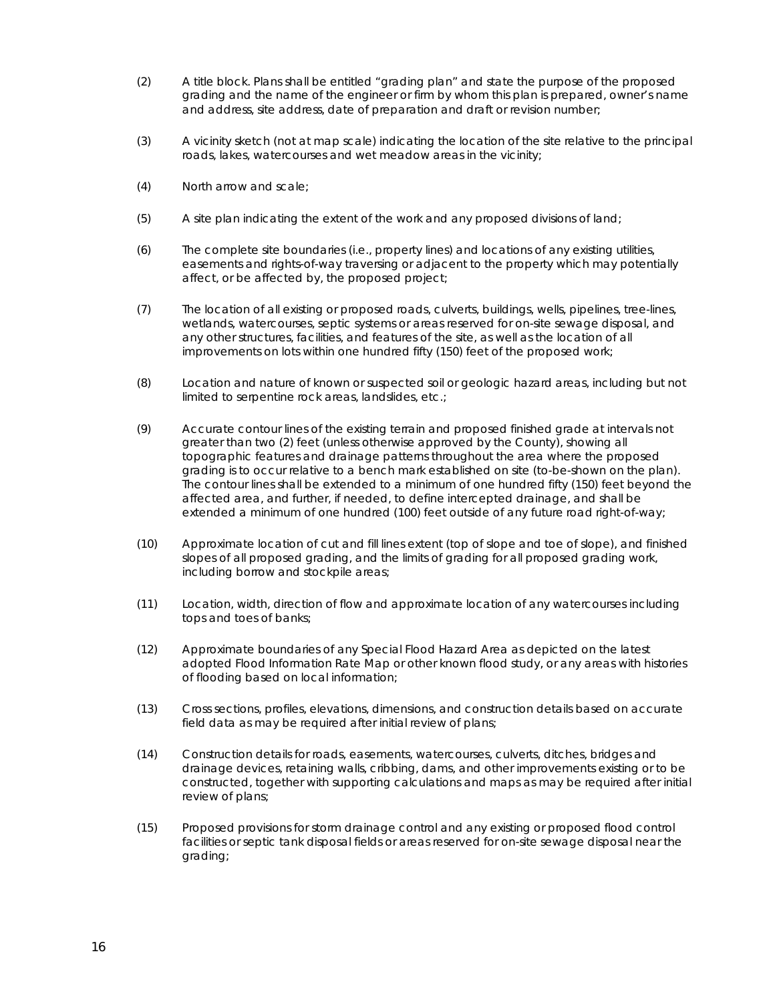- (2) A title block. Plans shall be entitled "grading plan" and state the purpose of the proposed grading and the name of the engineer or firm by whom this plan is prepared, owner's name and address, site address, date of preparation and draft or revision number;
- (3) A vicinity sketch (not at map scale) indicating the location of the site relative to the principal roads, lakes, watercourses and wet meadow areas in the vicinity;
- (4) North arrow and scale;
- (5) A site plan indicating the extent of the work and any proposed divisions of land;
- (6) The complete site boundaries (i.e., property lines) and locations of any existing utilities, easements and rights-of-way traversing or adjacent to the property which may potentially affect, or be affected by, the proposed project;
- (7) The location of all existing or proposed roads, culverts, buildings, wells, pipelines, tree-lines, wetlands, watercourses, septic systems or areas reserved for on-site sewage disposal, and any other structures, facilities, and features of the site, as well as the location of all improvements on lots within one hundred fifty (150) feet of the proposed work;
- (8) Location and nature of known or suspected soil or geologic hazard areas, including but not limited to serpentine rock areas, landslides, etc.;
- (9) Accurate contour lines of the existing terrain and proposed finished grade at intervals not greater than two (2) feet (unless otherwise approved by the County), showing all topographic features and drainage patterns throughout the area where the proposed grading is to occur relative to a bench mark established on site (to-be-shown on the plan). The contour lines shall be extended to a minimum of one hundred fifty (150) feet beyond the affected area, and further, if needed, to define intercepted drainage, and shall be extended a minimum of one hundred (100) feet outside of any future road right-of-way;
- (10) Approximate location of cut and fill lines extent (top of slope and toe of slope), and finished slopes of all proposed grading, and the limits of grading for all proposed grading work, including borrow and stockpile areas;
- (11) Location, width, direction of flow and approximate location of any watercourses including tops and toes of banks;
- (12) Approximate boundaries of any Special Flood Hazard Area as depicted on the latest adopted Flood Information Rate Map or other known flood study, or any areas with histories of flooding based on local information;
- (13) Cross sections, profiles, elevations, dimensions, and construction details based on accurate field data as may be required after initial review of plans;
- (14) Construction details for roads, easements, watercourses, culverts, ditches, bridges and drainage devices, retaining walls, cribbing, dams, and other improvements existing or to be constructed, together with supporting calculations and maps as may be required after initial review of plans;
- (15) Proposed provisions for storm drainage control and any existing or proposed flood control facilities or septic tank disposal fields or areas reserved for on-site sewage disposal near the grading;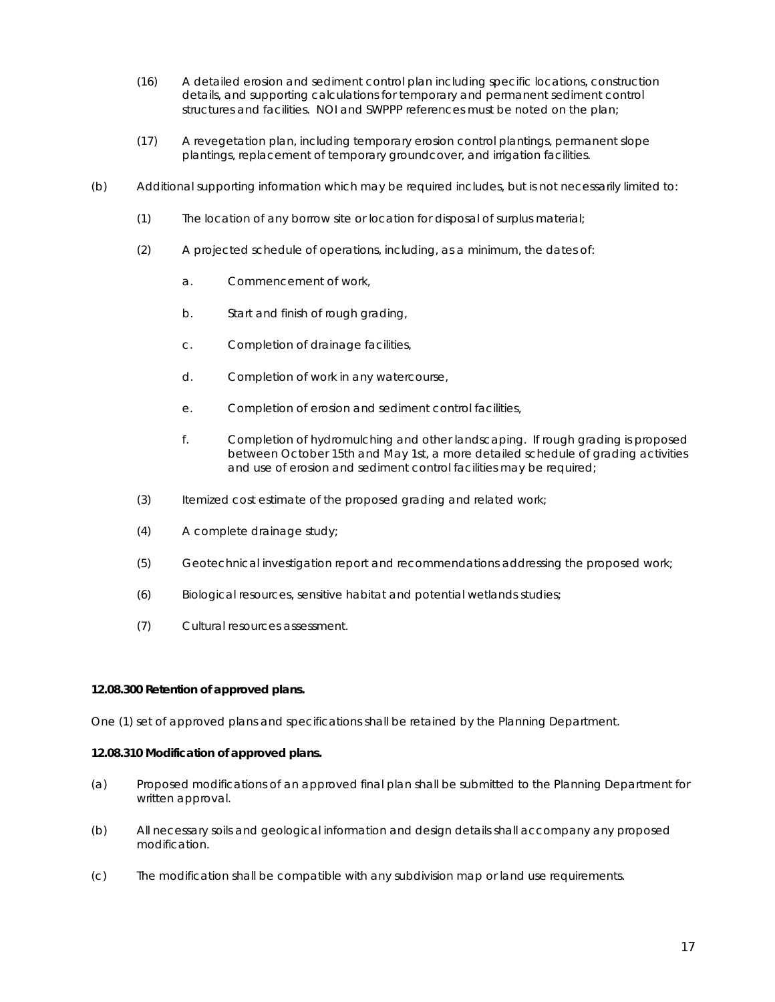- (16) A detailed erosion and sediment control plan including specific locations, construction details, and supporting calculations for temporary and permanent sediment control structures and facilities. NOI and SWPPP references must be noted on the plan;
- (17) A revegetation plan, including temporary erosion control plantings, permanent slope plantings, replacement of temporary groundcover, and irrigation facilities.
- (b) Additional supporting information which may be required includes, but is not necessarily limited to:
	- (1) The location of any borrow site or location for disposal of surplus material;
	- (2) A projected schedule of operations, including, as a minimum, the dates of:
		- a. Commencement of work,
		- b. Start and finish of rough grading,
		- c. Completion of drainage facilities,
		- d. Completion of work in any watercourse,
		- e. Completion of erosion and sediment control facilities,
		- f. Completion of hydromulching and other landscaping. If rough grading is proposed between October 15th and May 1st, a more detailed schedule of grading activities and use of erosion and sediment control facilities may be required;
	- (3) Itemized cost estimate of the proposed grading and related work;
	- (4) A complete drainage study;
	- (5) Geotechnical investigation report and recommendations addressing the proposed work;
	- (6) Biological resources, sensitive habitat and potential wetlands studies;
	- (7) Cultural resources assessment.

#### **12.08.300 Retention of approved plans.**

One (1) set of approved plans and specifications shall be retained by the Planning Department.

#### **12.08.310 Modification of approved plans.**

- (a) Proposed modifications of an approved final plan shall be submitted to the Planning Department for written approval.
- (b) All necessary soils and geological information and design details shall accompany any proposed modification.
- (c) The modification shall be compatible with any subdivision map or land use requirements.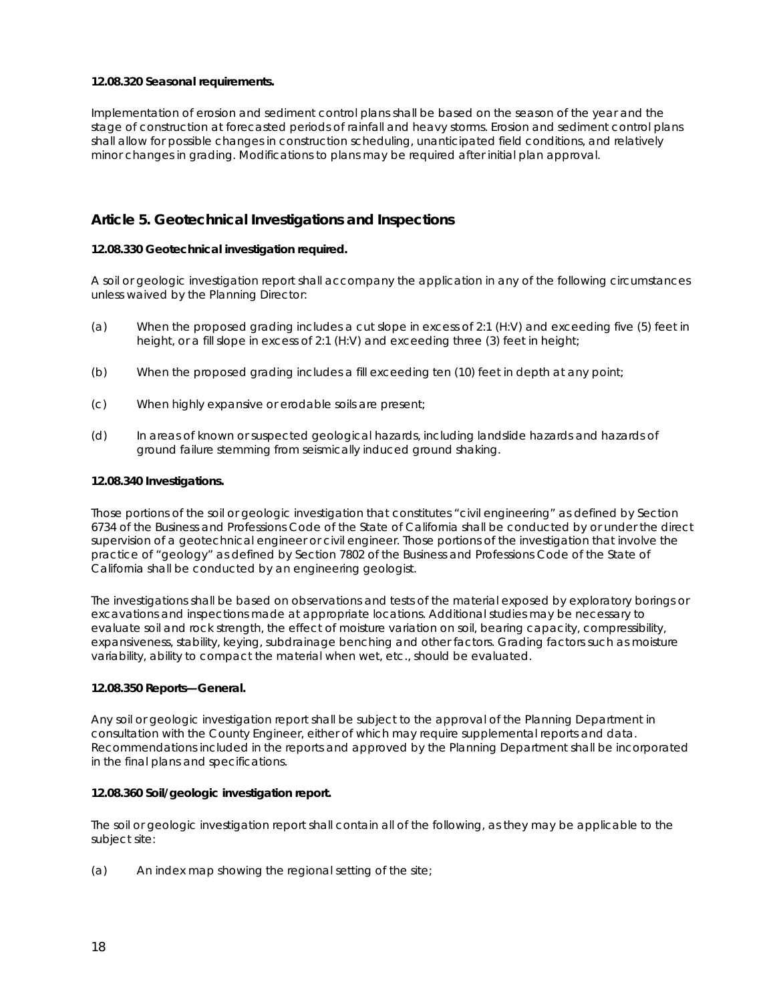#### **12.08.320 Seasonal requirements.**

Implementation of erosion and sediment control plans shall be based on the season of the year and the stage of construction at forecasted periods of rainfall and heavy storms. Erosion and sediment control plans shall allow for possible changes in construction scheduling, unanticipated field conditions, and relatively minor changes in grading. Modifications to plans may be required after initial plan approval.

## **Article 5. Geotechnical Investigations and Inspections**

#### **12.08.330 Geotechnical investigation required.**

A soil or geologic investigation report shall accompany the application in any of the following circumstances unless waived by the Planning Director:

- (a) When the proposed grading includes a cut slope in excess of 2:1 (H:V) and exceeding five (5) feet in height, or a fill slope in excess of 2:1 (H:V) and exceeding three (3) feet in height;
- (b) When the proposed grading includes a fill exceeding ten (10) feet in depth at any point;
- (c) When highly expansive or erodable soils are present;
- (d) In areas of known or suspected geological hazards, including landslide hazards and hazards of ground failure stemming from seismically induced ground shaking.

#### **12.08.340 Investigations.**

Those portions of the soil or geologic investigation that constitutes "civil engineering" as defined by Section 6734 of the Business and Professions Code of the State of California shall be conducted by or under the direct supervision of a geotechnical engineer or civil engineer. Those portions of the investigation that involve the practice of "geology" as defined by Section 7802 of the Business and Professions Code of the State of California shall be conducted by an engineering geologist.

The investigations shall be based on observations and tests of the material exposed by exploratory borings or excavations and inspections made at appropriate locations. Additional studies may be necessary to evaluate soil and rock strength, the effect of moisture variation on soil, bearing capacity, compressibility, expansiveness, stability, keying, subdrainage benching and other factors. Grading factors such as moisture variability, ability to compact the material when wet, etc., should be evaluated.

#### **12.08.350 Reports—General.**

Any soil or geologic investigation report shall be subject to the approval of the Planning Department in consultation with the County Engineer, either of which may require supplemental reports and data. Recommendations included in the reports and approved by the Planning Department shall be incorporated in the final plans and specifications.

#### **12.08.360 Soil/geologic investigation report.**

The soil or geologic investigation report shall contain all of the following, as they may be applicable to the subject site:

(a) An index map showing the regional setting of the site;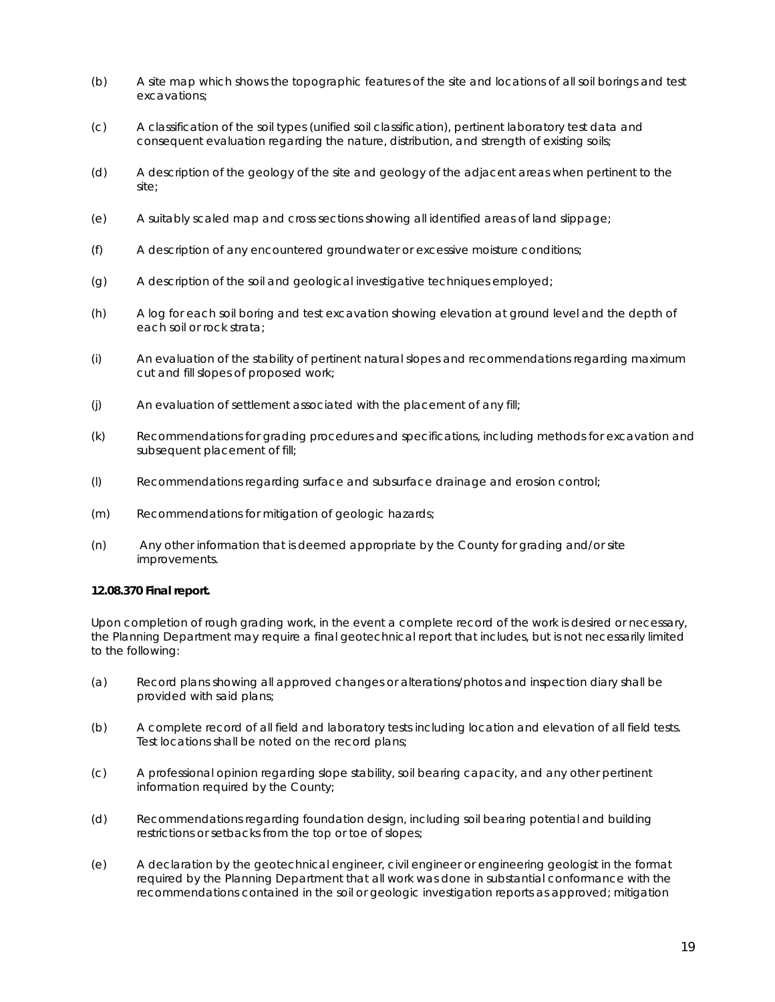- (b) A site map which shows the topographic features of the site and locations of all soil borings and test excavations;
- (c) A classification of the soil types (unified soil classification), pertinent laboratory test data and consequent evaluation regarding the nature, distribution, and strength of existing soils;
- (d) A description of the geology of the site and geology of the adjacent areas when pertinent to the site;
- (e) A suitably scaled map and cross sections showing all identified areas of land slippage;
- (f) A description of any encountered groundwater or excessive moisture conditions;
- (g) A description of the soil and geological investigative techniques employed;
- (h) A log for each soil boring and test excavation showing elevation at ground level and the depth of each soil or rock strata;
- (i) An evaluation of the stability of pertinent natural slopes and recommendations regarding maximum cut and fill slopes of proposed work;
- (j) An evaluation of settlement associated with the placement of any fill;
- (k) Recommendations for grading procedures and specifications, including methods for excavation and subsequent placement of fill;
- (l) Recommendations regarding surface and subsurface drainage and erosion control;
- (m) Recommendations for mitigation of geologic hazards;
- (n) Any other information that is deemed appropriate by the County for grading and/or site improvements.

#### **12.08.370 Final report.**

Upon completion of rough grading work, in the event a complete record of the work is desired or necessary, the Planning Department may require a final geotechnical report that includes, but is not necessarily limited to the following:

- (a) Record plans showing all approved changes or alterations/photos and inspection diary shall be provided with said plans;
- (b) A complete record of all field and laboratory tests including location and elevation of all field tests. Test locations shall be noted on the record plans;
- (c) A professional opinion regarding slope stability, soil bearing capacity, and any other pertinent information required by the County;
- (d) Recommendations regarding foundation design, including soil bearing potential and building restrictions or setbacks from the top or toe of slopes;
- (e) A declaration by the geotechnical engineer, civil engineer or engineering geologist in the format required by the Planning Department that all work was done in substantial conformance with the recommendations contained in the soil or geologic investigation reports as approved; mitigation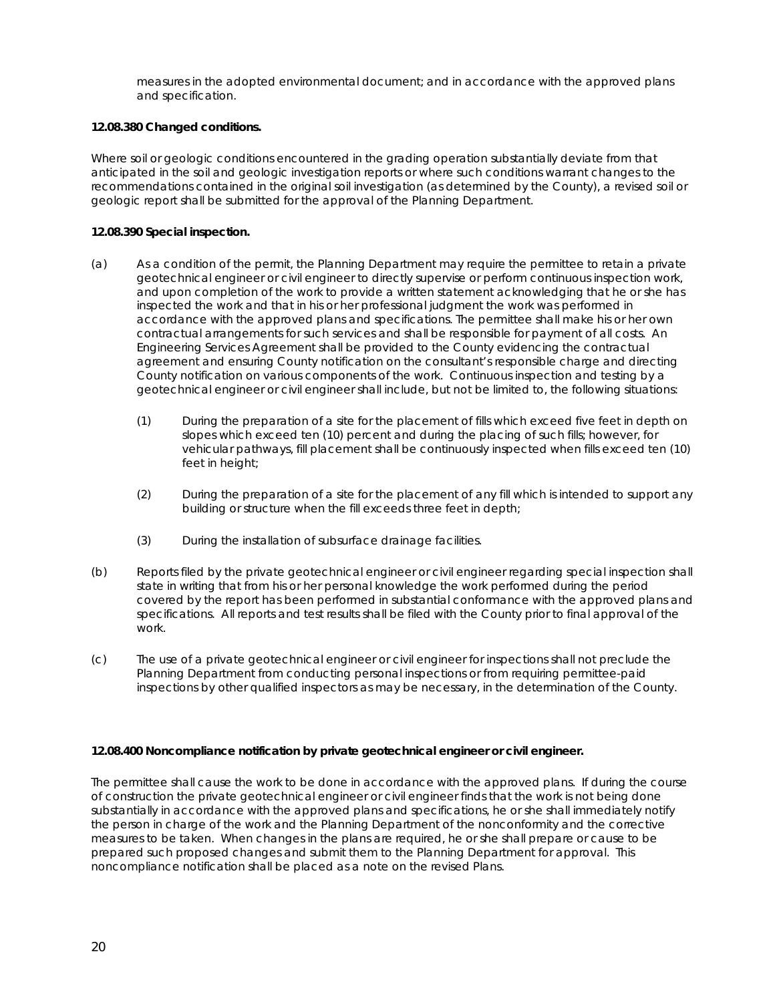measures in the adopted environmental document; and in accordance with the approved plans and specification.

#### **12.08.380 Changed conditions.**

Where soil or geologic conditions encountered in the grading operation substantially deviate from that anticipated in the soil and geologic investigation reports or where such conditions warrant changes to the recommendations contained in the original soil investigation (as determined by the County), a revised soil or geologic report shall be submitted for the approval of the Planning Department.

#### **12.08.390 Special inspection.**

- (a) As a condition of the permit, the Planning Department may require the permittee to retain a private geotechnical engineer or civil engineer to directly supervise or perform continuous inspection work, and upon completion of the work to provide a written statement acknowledging that he or she has inspected the work and that in his or her professional judgment the work was performed in accordance with the approved plans and specifications. The permittee shall make his or her own contractual arrangements for such services and shall be responsible for payment of all costs. An Engineering Services Agreement shall be provided to the County evidencing the contractual agreement and ensuring County notification on the consultant's responsible charge and directing County notification on various components of the work. Continuous inspection and testing by a geotechnical engineer or civil engineer shall include, but not be limited to, the following situations:
	- (1) During the preparation of a site for the placement of fills which exceed five feet in depth on slopes which exceed ten (10) percent and during the placing of such fills; however, for vehicular pathways, fill placement shall be continuously inspected when fills exceed ten (10) feet in height;
	- (2) During the preparation of a site for the placement of any fill which is intended to support any building or structure when the fill exceeds three feet in depth;
	- (3) During the installation of subsurface drainage facilities.
- (b) Reports filed by the private geotechnical engineer or civil engineer regarding special inspection shall state in writing that from his or her personal knowledge the work performed during the period covered by the report has been performed in substantial conformance with the approved plans and specifications. All reports and test results shall be filed with the County prior to final approval of the work.
- (c) The use of a private geotechnical engineer or civil engineer for inspections shall not preclude the Planning Department from conducting personal inspections or from requiring permittee-paid inspections by other qualified inspectors as may be necessary, in the determination of the County.

#### **12.08.400 Noncompliance notification by private geotechnical engineer or civil engineer.**

The permittee shall cause the work to be done in accordance with the approved plans. If during the course of construction the private geotechnical engineer or civil engineer finds that the work is not being done substantially in accordance with the approved plans and specifications, he or she shall immediately notify the person in charge of the work and the Planning Department of the nonconformity and the corrective measures to be taken. When changes in the plans are required, he or she shall prepare or cause to be prepared such proposed changes and submit them to the Planning Department for approval. This noncompliance notification shall be placed as a note on the revised Plans.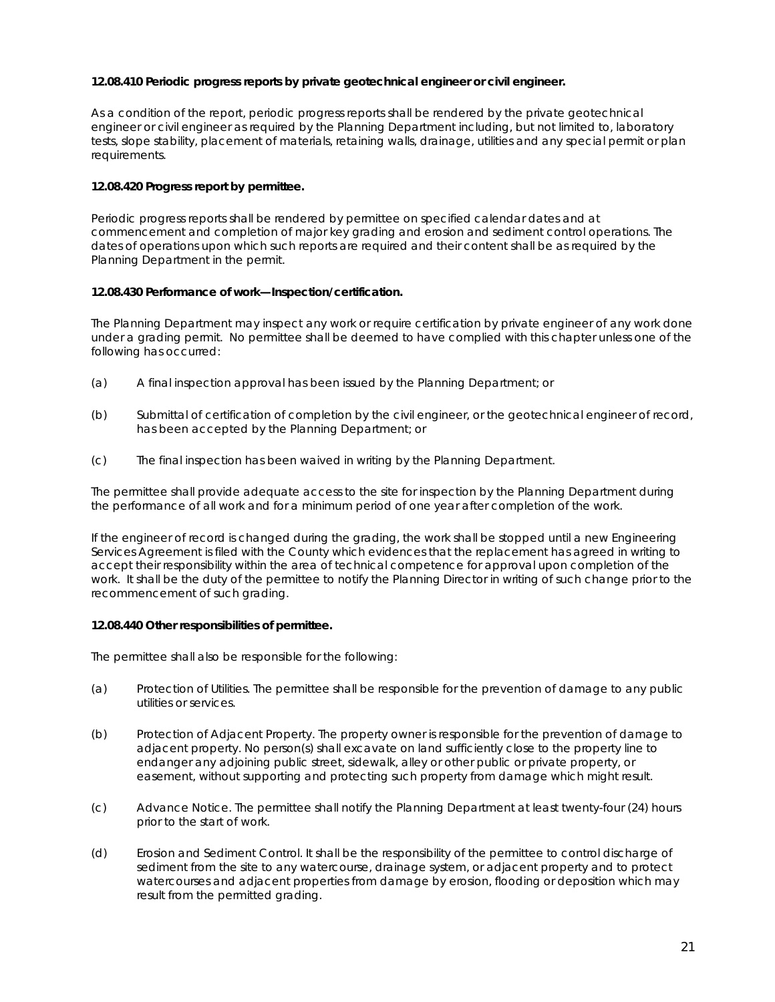#### **12.08.410 Periodic progress reports by private geotechnical engineer or civil engineer.**

As a condition of the report, periodic progress reports shall be rendered by the private geotechnical engineer or civil engineer as required by the Planning Department including, but not limited to, laboratory tests, slope stability, placement of materials, retaining walls, drainage, utilities and any special permit or plan requirements.

#### **12.08.420 Progress report by permittee.**

Periodic progress reports shall be rendered by permittee on specified calendar dates and at commencement and completion of major key grading and erosion and sediment control operations. The dates of operations upon which such reports are required and their content shall be as required by the Planning Department in the permit.

#### **12.08.430 Performance of work—Inspection/certification.**

The Planning Department may inspect any work or require certification by private engineer of any work done under a grading permit. No permittee shall be deemed to have complied with this chapter unless one of the following has occurred:

- (a) A final inspection approval has been issued by the Planning Department; or
- (b) Submittal of certification of completion by the civil engineer, or the geotechnical engineer of record, has been accepted by the Planning Department; or
- (c) The final inspection has been waived in writing by the Planning Department.

The permittee shall provide adequate access to the site for inspection by the Planning Department during the performance of all work and for a minimum period of one year after completion of the work.

If the engineer of record is changed during the grading, the work shall be stopped until a new Engineering Services Agreement is filed with the County which evidences that the replacement has agreed in writing to accept their responsibility within the area of technical competence for approval upon completion of the work. It shall be the duty of the permittee to notify the Planning Director in writing of such change prior to the recommencement of such grading.

#### **12.08.440 Other responsibilities of permittee.**

The permittee shall also be responsible for the following:

- (a) Protection of Utilities. The permittee shall be responsible for the prevention of damage to any public utilities or services.
- (b) Protection of Adjacent Property. The property owner is responsible for the prevention of damage to adjacent property. No person(s) shall excavate on land sufficiently close to the property line to endanger any adjoining public street, sidewalk, alley or other public or private property, or easement, without supporting and protecting such property from damage which might result.
- (c) Advance Notice. The permittee shall notify the Planning Department at least twenty-four (24) hours prior to the start of work.
- (d) Erosion and Sediment Control. It shall be the responsibility of the permittee to control discharge of sediment from the site to any watercourse, drainage system, or adjacent property and to protect watercourses and adjacent properties from damage by erosion, flooding or deposition which may result from the permitted grading.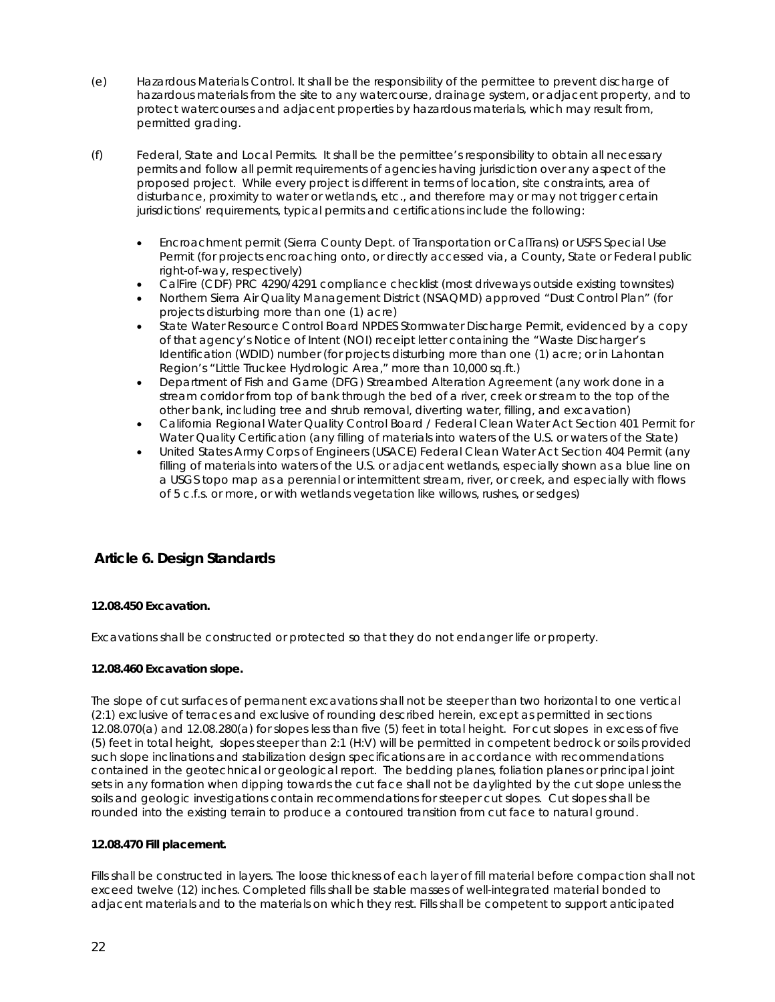- (e) Hazardous Materials Control. It shall be the responsibility of the permittee to prevent discharge of hazardous materials from the site to any watercourse, drainage system, or adjacent property, and to protect watercourses and adjacent properties by hazardous materials, which may result from, permitted grading.
- (f) Federal, State and Local Permits. It shall be the permittee's responsibility to obtain all necessary permits and follow all permit requirements of agencies having jurisdiction over any aspect of the proposed project. While every project is different in terms of location, site constraints, area of disturbance, proximity to water or wetlands, etc., and therefore may or may not trigger certain jurisdictions' requirements, typical permits and certifications include the following:
	- Encroachment permit (Sierra County Dept. of Transportation or CalTrans) or USFS Special Use Permit (for projects encroaching onto, or directly accessed via, a County, State or Federal public right-of-way, respectively)
	- CalFire (CDF) PRC 4290/4291 compliance checklist (most driveways outside existing townsites)
	- Northern Sierra Air Quality Management District (NSAQMD) approved "Dust Control Plan" (for projects disturbing more than one (1) acre)
	- State Water Resource Control Board NPDES Stormwater Discharge Permit, evidenced by a copy of that agency's Notice of Intent (NOI) receipt letter containing the "Waste Discharger's Identification (WDID) number (for projects disturbing more than one (1) acre; or in Lahontan Region's "Little Truckee Hydrologic Area," more than 10,000 sq.ft.)
	- Department of Fish and Game (DFG) Streambed Alteration Agreement (any work done in a stream corridor from top of bank through the bed of a river, creek or stream to the top of the other bank, including tree and shrub removal, diverting water, filling, and excavation)
	- California Regional Water Quality Control Board / Federal Clean Water Act Section 401 Permit for Water Quality Certification (any filling of materials into waters of the U.S. or waters of the State)
	- United States Army Corps of Engineers (USACE) Federal Clean Water Act Section 404 Permit (any filling of materials into waters of the U.S. or adjacent wetlands, especially shown as a blue line on a USGS topo map as a perennial or intermittent stream, river, or creek, and especially with flows of 5 c.f.s. or more, or with wetlands vegetation like willows, rushes, or sedges)

## **Article 6. Design Standards**

#### **12.08.450 Excavation.**

Excavations shall be constructed or protected so that they do not endanger life or property.

#### **12.08.460 Excavation slope.**

The slope of cut surfaces of permanent excavations shall not be steeper than two horizontal to one vertical (2:1) exclusive of terraces and exclusive of rounding described herein, except as permitted in sections 12.08.070(a) and 12.08.280(a) for slopes less than five (5) feet in total height. For cut slopes in excess of five (5) feet in total height, slopes steeper than 2:1 (H:V) will be permitted in competent bedrock or soils provided such slope inclinations and stabilization design specifications are in accordance with recommendations contained in the geotechnical or geological report. The bedding planes, foliation planes or principal joint sets in any formation when dipping towards the cut face shall not be daylighted by the cut slope unless the soils and geologic investigations contain recommendations for steeper cut slopes. Cut slopes shall be rounded into the existing terrain to produce a contoured transition from cut face to natural ground.

#### **12.08.470 Fill placement.**

Fills shall be constructed in layers. The loose thickness of each layer of fill material before compaction shall not exceed twelve (12) inches. Completed fills shall be stable masses of well-integrated material bonded to adjacent materials and to the materials on which they rest. Fills shall be competent to support anticipated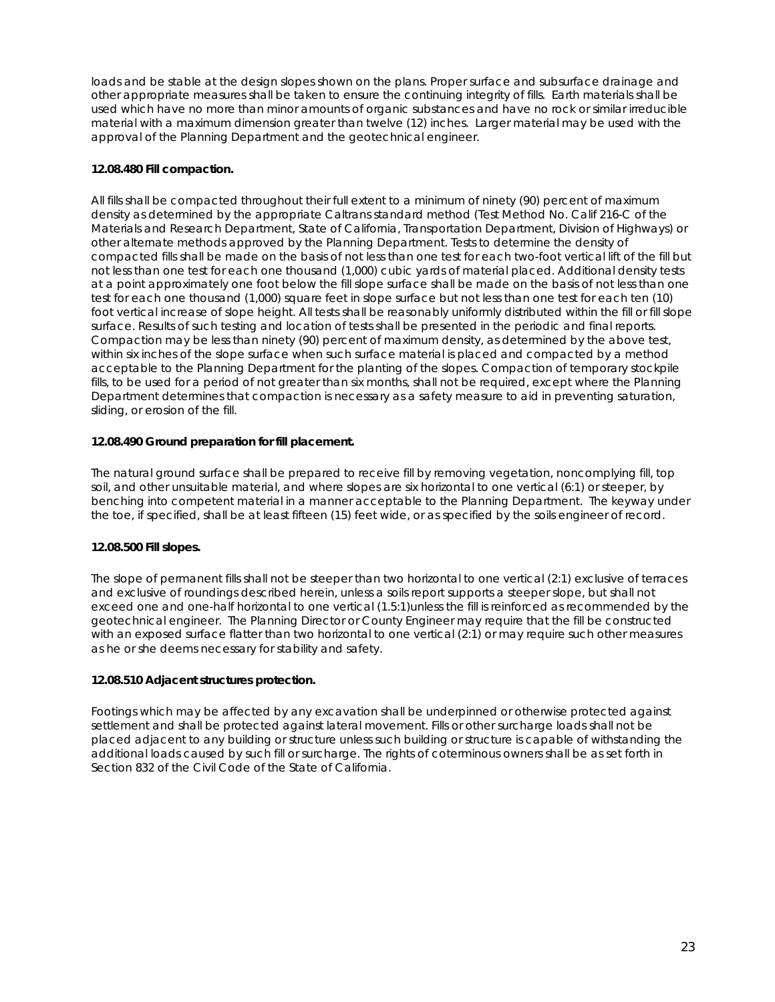loads and be stable at the design slopes shown on the plans. Proper surface and subsurface drainage and other appropriate measures shall be taken to ensure the continuing integrity of fills. Earth materials shall be used which have no more than minor amounts of organic substances and have no rock or similar irreducible material with a maximum dimension greater than twelve (12) inches. Larger material may be used with the approval of the Planning Department and the geotechnical engineer.

### **12.08.480 Fill compaction.**

All fills shall be compacted throughout their full extent to a minimum of ninety (90) percent of maximum density as determined by the appropriate Caltrans standard method (Test Method No. Calif 216-C of the Materials and Research Department, State of California, Transportation Department, Division of Highways) or other alternate methods approved by the Planning Department. Tests to determine the density of compacted fills shall be made on the basis of not less than one test for each two-foot vertical lift of the fill but not less than one test for each one thousand (1,000) cubic yards of material placed. Additional density tests at a point approximately one foot below the fill slope surface shall be made on the basis of not less than one test for each one thousand (1,000) square feet in slope surface but not less than one test for each ten (10) foot vertical increase of slope height. All tests shall be reasonably uniformly distributed within the fill or fill slope surface. Results of such testing and location of tests shall be presented in the periodic and final reports. Compaction may be less than ninety (90) percent of maximum density, as determined by the above test, within six inches of the slope surface when such surface material is placed and compacted by a method acceptable to the Planning Department for the planting of the slopes. Compaction of temporary stockpile fills, to be used for a period of not greater than six months, shall not be required, except where the Planning Department determines that compaction is necessary as a safety measure to aid in preventing saturation, sliding, or erosion of the fill.

#### **12.08.490 Ground preparation for fill placement.**

The natural ground surface shall be prepared to receive fill by removing vegetation, noncomplying fill, top soil, and other unsuitable material, and where slopes are six horizontal to one vertical (6:1) or steeper, by benching into competent material in a manner acceptable to the Planning Department. The keyway under the toe, if specified, shall be at least fifteen (15) feet wide, or as specified by the soils engineer of record.

#### **12.08.500 Fill slopes.**

The slope of permanent fills shall not be steeper than two horizontal to one vertical (2:1) exclusive of terraces and exclusive of roundings described herein, unless a soils report supports a steeper slope, but shall not exceed one and one-half horizontal to one vertical (1.5:1)unless the fill is reinforced as recommended by the geotechnical engineer. The Planning Director or County Engineer may require that the fill be constructed with an exposed surface flatter than two horizontal to one vertical (2:1) or may require such other measures as he or she deems necessary for stability and safety.

#### **12.08.510 Adjacent structures protection.**

Footings which may be affected by any excavation shall be underpinned or otherwise protected against settlement and shall be protected against lateral movement. Fills or other surcharge loads shall not be placed adjacent to any building or structure unless such building or structure is capable of withstanding the additional loads caused by such fill or surcharge. The rights of coterminous owners shall be as set forth in Section 832 of the Civil Code of the State of California.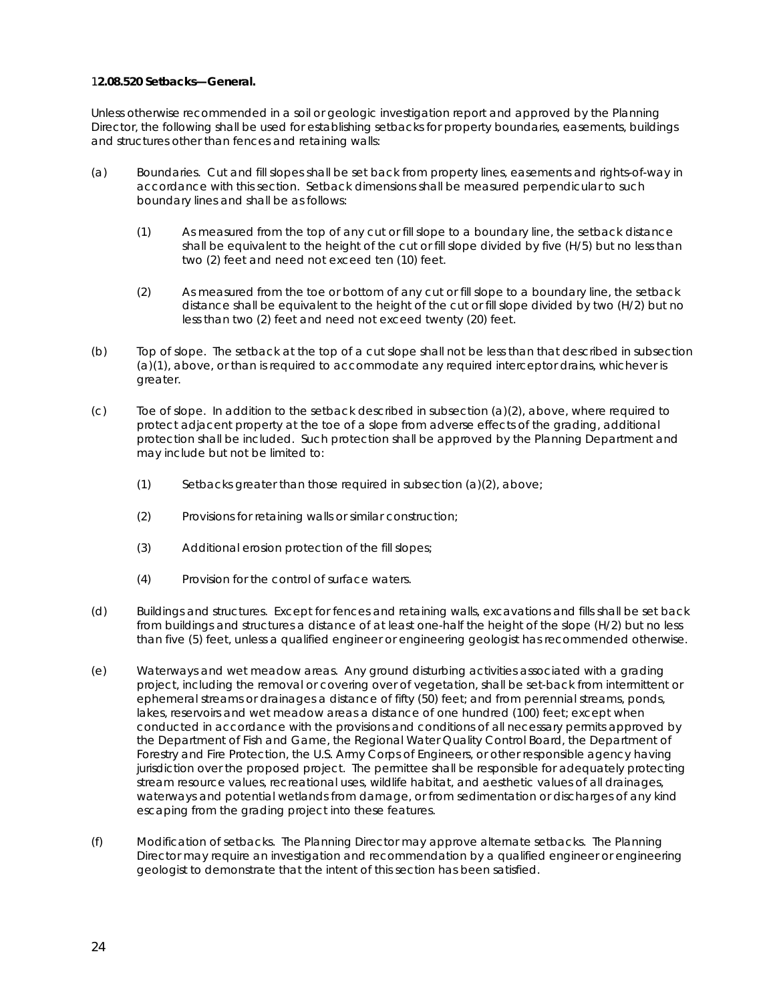#### 1**2.08.520 Setbacks—General.**

Unless otherwise recommended in a soil or geologic investigation report and approved by the Planning Director, the following shall be used for establishing setbacks for property boundaries, easements, buildings and structures other than fences and retaining walls:

- (a) Boundaries. Cut and fill slopes shall be set back from property lines, easements and rights-of-way in accordance with this section. Setback dimensions shall be measured perpendicular to such boundary lines and shall be as follows:
	- (1) As measured from the top of any cut or fill slope to a boundary line, the setback distance shall be equivalent to the height of the cut or fill slope divided by five (H/5) but no less than two (2) feet and need not exceed ten (10) feet.
	- (2) As measured from the toe or bottom of any cut or fill slope to a boundary line, the setback distance shall be equivalent to the height of the cut or fill slope divided by two (H/2) but no less than two (2) feet and need not exceed twenty (20) feet.
- (b) Top of slope. The setback at the top of a cut slope shall not be less than that described in subsection (a)(1), above, or than is required to accommodate any required interceptor drains, whichever is greater.
- (c) Toe of slope. In addition to the setback described in subsection (a)(2), above, where required to protect adjacent property at the toe of a slope from adverse effects of the grading, additional protection shall be included. Such protection shall be approved by the Planning Department and may include but not be limited to:
	- $(1)$  Setbacks greater than those required in subsection  $(a)(2)$ , above;
	- (2) Provisions for retaining walls or similar construction;
	- (3) Additional erosion protection of the fill slopes;
	- (4) Provision for the control of surface waters.
- (d) Buildings and structures. Except for fences and retaining walls, excavations and fills shall be set back from buildings and structures a distance of at least one-half the height of the slope (H/2) but no less than five (5) feet, unless a qualified engineer or engineering geologist has recommended otherwise.
- (e) Waterways and wet meadow areas. Any ground disturbing activities associated with a grading project, including the removal or covering over of vegetation, shall be set-back from intermittent or ephemeral streams or drainages a distance of fifty (50) feet; and from perennial streams, ponds, lakes, reservoirs and wet meadow areas a distance of one hundred (100) feet; except when conducted in accordance with the provisions and conditions of all necessary permits approved by the Department of Fish and Game, the Regional Water Quality Control Board, the Department of Forestry and Fire Protection, the U.S. Army Corps of Engineers, or other responsible agency having jurisdiction over the proposed project. The permittee shall be responsible for adequately protecting stream resource values, recreational uses, wildlife habitat, and aesthetic values of all drainages, waterways and potential wetlands from damage, or from sedimentation or discharges of any kind escaping from the grading project into these features.
- (f) Modification of setbacks. The Planning Director may approve alternate setbacks. The Planning Director may require an investigation and recommendation by a qualified engineer or engineering geologist to demonstrate that the intent of this section has been satisfied.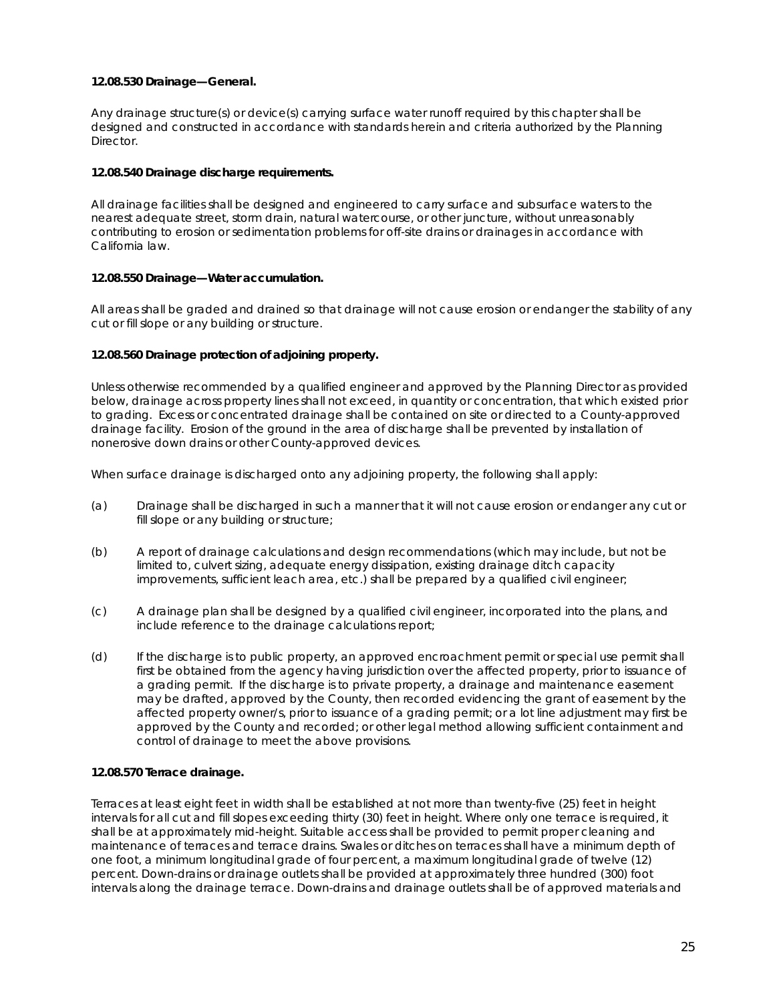#### **12.08.530 Drainage—General.**

Any drainage structure(s) or device(s) carrying surface water runoff required by this chapter shall be designed and constructed in accordance with standards herein and criteria authorized by the Planning Director.

#### **12.08.540 Drainage discharge requirements.**

All drainage facilities shall be designed and engineered to carry surface and subsurface waters to the nearest adequate street, storm drain, natural watercourse, or other juncture, without unreasonably contributing to erosion or sedimentation problems for off-site drains or drainages in accordance with California law.

#### **12.08.550 Drainage—Water accumulation.**

All areas shall be graded and drained so that drainage will not cause erosion or endanger the stability of any cut or fill slope or any building or structure.

#### **12.08.560 Drainage protection of adjoining property.**

Unless otherwise recommended by a qualified engineer and approved by the Planning Director as provided below, drainage across property lines shall not exceed, in quantity or concentration, that which existed prior to grading. Excess or concentrated drainage shall be contained on site or directed to a County-approved drainage facility. Erosion of the ground in the area of discharge shall be prevented by installation of nonerosive down drains or other County-approved devices.

When surface drainage is discharged onto any adjoining property, the following shall apply:

- (a) Drainage shall be discharged in such a manner that it will not cause erosion or endanger any cut or fill slope or any building or structure;
- (b) A report of drainage calculations and design recommendations (which may include, but not be limited to, culvert sizing, adequate energy dissipation, existing drainage ditch capacity improvements, sufficient leach area, etc.) shall be prepared by a qualified civil engineer;
- (c) A drainage plan shall be designed by a qualified civil engineer, incorporated into the plans, and include reference to the drainage calculations report;
- (d) If the discharge is to public property, an approved encroachment permit or special use permit shall first be obtained from the agency having jurisdiction over the affected property, prior to issuance of a grading permit. If the discharge is to private property, a drainage and maintenance easement may be drafted, approved by the County, then recorded evidencing the grant of easement by the affected property owner/s, prior to issuance of a grading permit; or a lot line adjustment may first be approved by the County and recorded; or other legal method allowing sufficient containment and control of drainage to meet the above provisions.

#### **12.08.570 Terrace drainage.**

Terraces at least eight feet in width shall be established at not more than twenty-five (25) feet in height intervals for all cut and fill slopes exceeding thirty (30) feet in height. Where only one terrace is required, it shall be at approximately mid-height. Suitable access shall be provided to permit proper cleaning and maintenance of terraces and terrace drains. Swales or ditches on terraces shall have a minimum depth of one foot, a minimum longitudinal grade of four percent, a maximum longitudinal grade of twelve (12) percent. Down-drains or drainage outlets shall be provided at approximately three hundred (300) foot intervals along the drainage terrace. Down-drains and drainage outlets shall be of approved materials and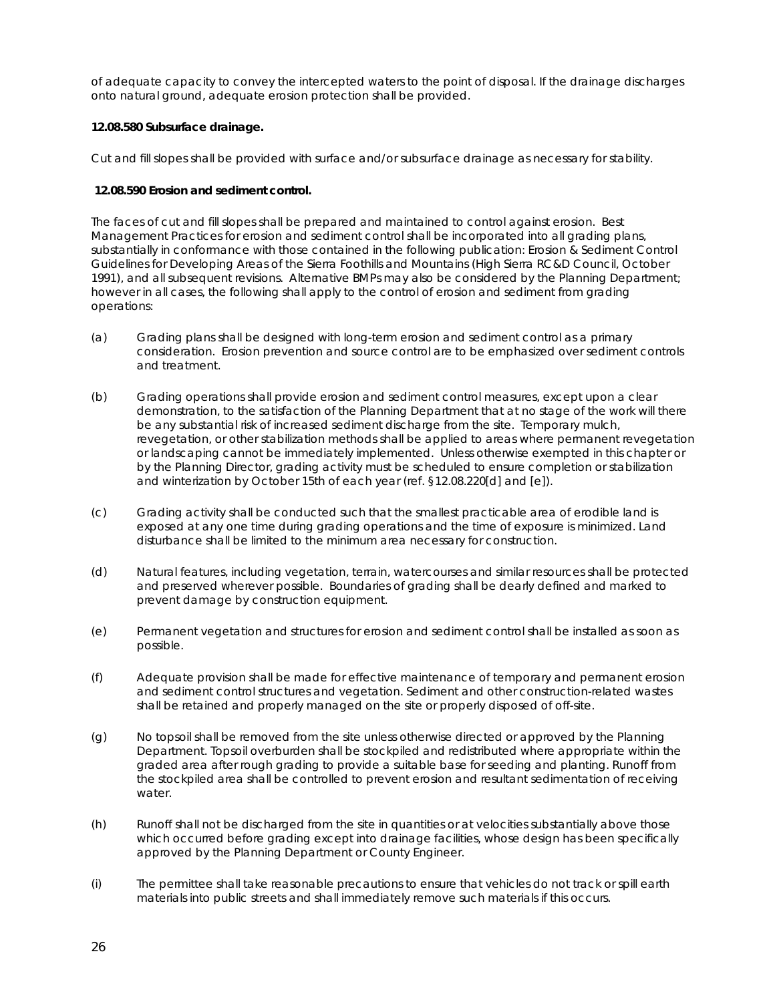of adequate capacity to convey the intercepted waters to the point of disposal. If the drainage discharges onto natural ground, adequate erosion protection shall be provided.

#### **12.08.580 Subsurface drainage.**

Cut and fill slopes shall be provided with surface and/or subsurface drainage as necessary for stability.

#### **12.08.590 Erosion and sediment control.**

The faces of cut and fill slopes shall be prepared and maintained to control against erosion. Best Management Practices for erosion and sediment control shall be incorporated into all grading plans, substantially in conformance with those contained in the following publication: *Erosion & Sediment Control Guidelines for Developing Areas of the Sierra Foothills and Mountains* (High Sierra RC&D Council, October 1991), and all subsequent revisions. Alternative BMPs may also be considered by the Planning Department; however in all cases, the following shall apply to the control of erosion and sediment from grading operations:

- (a) Grading plans shall be designed with long-term erosion and sediment control as a primary consideration. Erosion prevention and source control are to be emphasized over sediment controls and treatment.
- (b) Grading operations shall provide erosion and sediment control measures, except upon a clear demonstration, to the satisfaction of the Planning Department that at no stage of the work will there be any substantial risk of increased sediment discharge from the site. Temporary mulch, revegetation, or other stabilization methods shall be applied to areas where permanent revegetation or landscaping cannot be immediately implemented. Unless otherwise exempted in this chapter or by the Planning Director, grading activity must be scheduled to ensure completion or stabilization and winterization by October 15th of each year (ref. §12.08.220[d] and [e]).
- (c) Grading activity shall be conducted such that the smallest practicable area of erodible land is exposed at any one time during grading operations and the time of exposure is minimized. Land disturbance shall be limited to the minimum area necessary for construction.
- (d) Natural features, including vegetation, terrain, watercourses and similar resources shall be protected and preserved wherever possible. Boundaries of grading shall be dearly defined and marked to prevent damage by construction equipment.
- (e) Permanent vegetation and structures for erosion and sediment control shall be installed as soon as possible.
- (f) Adequate provision shall be made for effective maintenance of temporary and permanent erosion and sediment control structures and vegetation. Sediment and other construction-related wastes shall be retained and properly managed on the site or properly disposed of off-site.
- (g) No topsoil shall be removed from the site unless otherwise directed or approved by the Planning Department. Topsoil overburden shall be stockpiled and redistributed where appropriate within the graded area after rough grading to provide a suitable base for seeding and planting. Runoff from the stockpiled area shall be controlled to prevent erosion and resultant sedimentation of receiving water.
- (h) Runoff shall not be discharged from the site in quantities or at velocities substantially above those which occurred before grading except into drainage facilities, whose design has been specifically approved by the Planning Department or County Engineer.
- (i) The permittee shall take reasonable precautions to ensure that vehicles do not track or spill earth materials into public streets and shall immediately remove such materials if this occurs.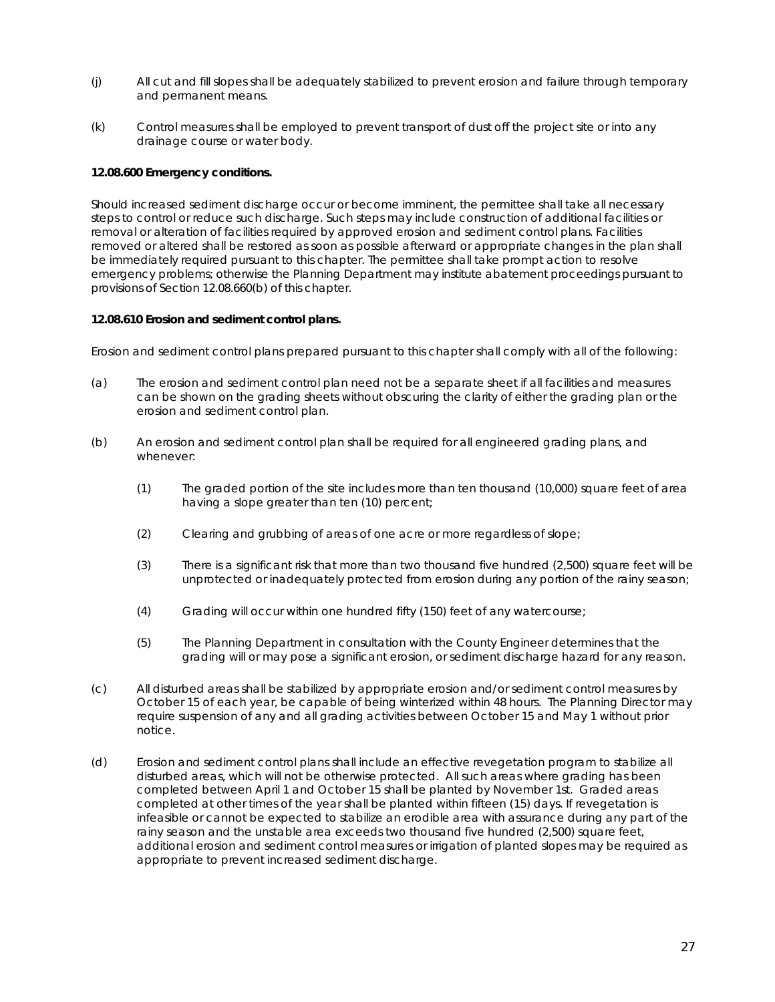- (j) All cut and fill slopes shall be adequately stabilized to prevent erosion and failure through temporary and permanent means.
- (k) Control measures shall be employed to prevent transport of dust off the project site or into any drainage course or water body.

#### **12.08.600 Emergency conditions.**

Should increased sediment discharge occur or become imminent, the permittee shall take all necessary steps to control or reduce such discharge. Such steps may include construction of additional facilities or removal or alteration of facilities required by approved erosion and sediment control plans. Facilities removed or altered shall be restored as soon as possible afterward or appropriate changes in the plan shall be immediately required pursuant to this chapter. The permittee shall take prompt action to resolve emergency problems; otherwise the Planning Department may institute abatement proceedings pursuant to provisions of Section 12.08.660(b) of this chapter.

#### **12.08.610 Erosion and sediment control plans.**

Erosion and sediment control plans prepared pursuant to this chapter shall comply with all of the following:

- (a) The erosion and sediment control plan need not be a separate sheet if all facilities and measures can be shown on the grading sheets without obscuring the clarity of either the grading plan or the erosion and sediment control plan.
- (b) An erosion and sediment control plan shall be required for all engineered grading plans, and whenever:
	- (1) The graded portion of the site includes more than ten thousand (10,000) square feet of area having a slope greater than ten (10) percent;
	- (2) Clearing and grubbing of areas of one acre or more regardless of slope;
	- (3) There is a significant risk that more than two thousand five hundred (2,500) square feet will be unprotected or inadequately protected from erosion during any portion of the rainy season;
	- (4) Grading will occur within one hundred fifty (150) feet of any watercourse;
	- (5) The Planning Department in consultation with the County Engineer determines that the grading will or may pose a significant erosion, or sediment discharge hazard for any reason.
- (c) All disturbed areas shall be stabilized by appropriate erosion and/or sediment control measures by October 15 of each year, be capable of being winterized within 48 hours. The Planning Director may require suspension of any and all grading activities between October 15 and May 1 without prior notice.
- (d) Erosion and sediment control plans shall include an effective revegetation program to stabilize all disturbed areas, which will not be otherwise protected. All such areas where grading has been completed between April 1 and October 15 shall be planted by November 1st. Graded areas completed at other times of the year shall be planted within fifteen (15) days. If revegetation is infeasible or cannot be expected to stabilize an erodible area with assurance during any part of the rainy season and the unstable area exceeds two thousand five hundred (2,500) square feet, additional erosion and sediment control measures or irrigation of planted slopes may be required as appropriate to prevent increased sediment discharge.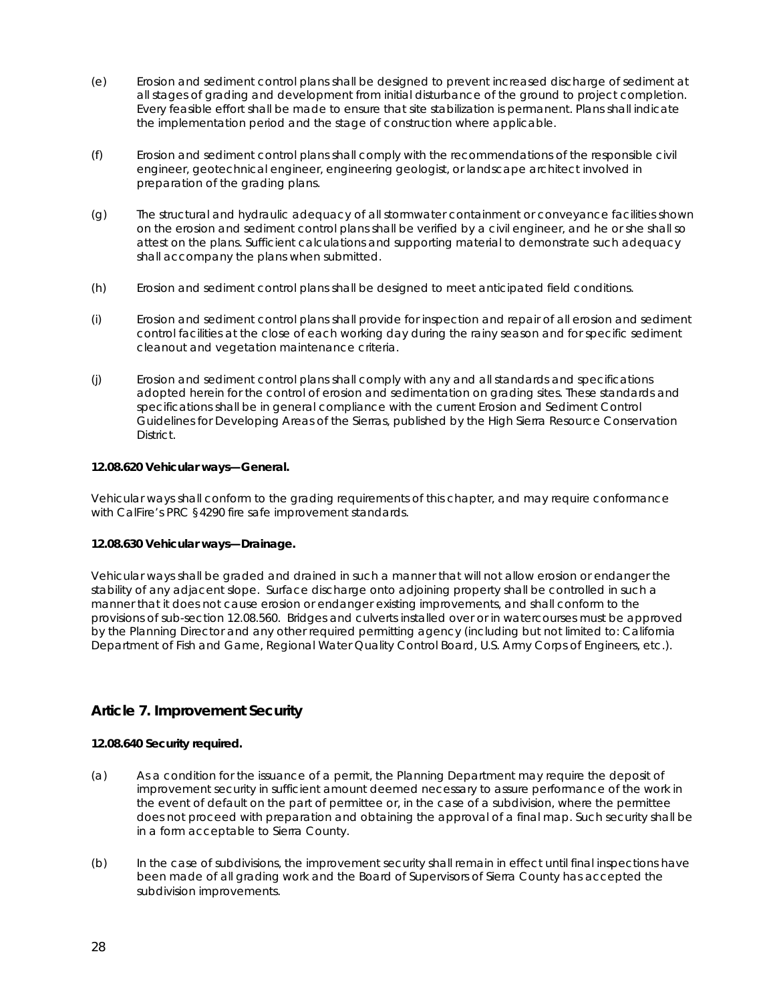- (e) Erosion and sediment control plans shall be designed to prevent increased discharge of sediment at all stages of grading and development from initial disturbance of the ground to project completion. Every feasible effort shall be made to ensure that site stabilization is permanent. Plans shall indicate the implementation period and the stage of construction where applicable.
- (f) Erosion and sediment control plans shall comply with the recommendations of the responsible civil engineer, geotechnical engineer, engineering geologist, or landscape architect involved in preparation of the grading plans.
- (g) The structural and hydraulic adequacy of all stormwater containment or conveyance facilities shown on the erosion and sediment control plans shall be verified by a civil engineer, and he or she shall so attest on the plans. Sufficient calculations and supporting material to demonstrate such adequacy shall accompany the plans when submitted.
- (h) Erosion and sediment control plans shall be designed to meet anticipated field conditions.
- (i) Erosion and sediment control plans shall provide for inspection and repair of all erosion and sediment control facilities at the close of each working day during the rainy season and for specific sediment cleanout and vegetation maintenance criteria.
- (j) Erosion and sediment control plans shall comply with any and all standards and specifications adopted herein for the control of erosion and sedimentation on grading sites. These standards and specifications shall be in general compliance with the current Erosion and Sediment Control Guidelines for Developing Areas of the Sierras, published by the High Sierra Resource Conservation District.

#### **12.08.620 Vehicular ways—General.**

Vehicular ways shall conform to the grading requirements of this chapter, and may require conformance with CalFire's PRC §4290 fire safe improvement standards.

#### **12.08.630 Vehicular ways—Drainage.**

Vehicular ways shall be graded and drained in such a manner that will not allow erosion or endanger the stability of any adjacent slope. Surface discharge onto adjoining property shall be controlled in such a manner that it does not cause erosion or endanger existing improvements, and shall conform to the provisions of sub-section 12.08.560. Bridges and culverts installed over or in watercourses must be approved by the Planning Director and any other required permitting agency (including but not limited to: California Department of Fish and Game, Regional Water Quality Control Board, U.S. Army Corps of Engineers, etc.).

## **Article 7. Improvement Security**

#### **12.08.640 Security required.**

- (a) As a condition for the issuance of a permit, the Planning Department may require the deposit of improvement security in sufficient amount deemed necessary to assure performance of the work in the event of default on the part of permittee or, in the case of a subdivision, where the permittee does not proceed with preparation and obtaining the approval of a final map. Such security shall be in a form acceptable to Sierra County.
- (b) In the case of subdivisions, the improvement security shall remain in effect until final inspections have been made of all grading work and the Board of Supervisors of Sierra County has accepted the subdivision improvements.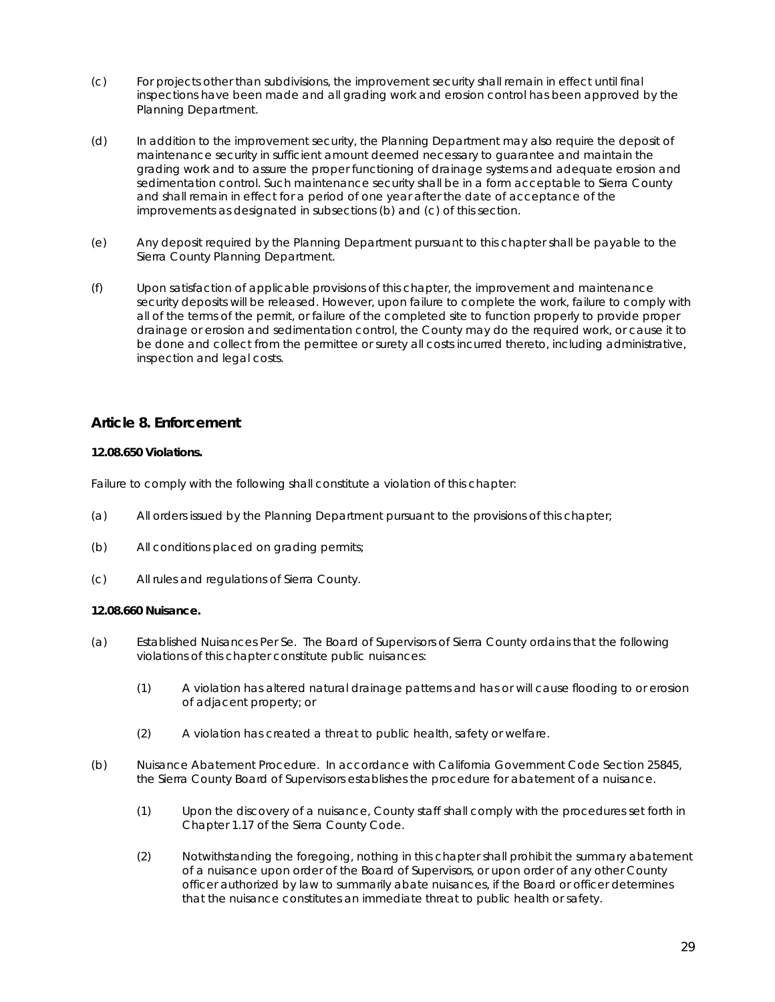- (c) For projects other than subdivisions, the improvement security shall remain in effect until final inspections have been made and all grading work and erosion control has been approved by the Planning Department.
- (d) In addition to the improvement security, the Planning Department may also require the deposit of maintenance security in sufficient amount deemed necessary to guarantee and maintain the grading work and to assure the proper functioning of drainage systems and adequate erosion and sedimentation control. Such maintenance security shall be in a form acceptable to Sierra County and shall remain in effect for a period of one year after the date of acceptance of the improvements as designated in subsections (b) and (c) of this section.
- (e) Any deposit required by the Planning Department pursuant to this chapter shall be payable to the Sierra County Planning Department.
- (f) Upon satisfaction of applicable provisions of this chapter, the improvement and maintenance security deposits will be released. However, upon failure to complete the work, failure to comply with all of the terms of the permit, or failure of the completed site to function properly to provide proper drainage or erosion and sedimentation control, the County may do the required work, or cause it to be done and collect from the permittee or surety all costs incurred thereto, including administrative, inspection and legal costs.

## **Article 8. Enforcement**

#### **12.08.650 Violations.**

Failure to comply with the following shall constitute a violation of this chapter:

- (a) All orders issued by the Planning Department pursuant to the provisions of this chapter;
- (b) All conditions placed on grading permits;
- (c) All rules and regulations of Sierra County.

#### **12.08.660 Nuisance.**

- (a) Established Nuisances Per Se. The Board of Supervisors of Sierra County ordains that the following violations of this chapter constitute public nuisances:
	- (1) A violation has altered natural drainage patterns and has or will cause flooding to or erosion of adjacent property; or
	- (2) A violation has created a threat to public health, safety or welfare.
- (b) Nuisance Abatement Procedure. In accordance with California Government Code Section 25845, the Sierra County Board of Supervisors establishes the procedure for abatement of a nuisance.
	- (1) Upon the discovery of a nuisance, County staff shall comply with the procedures set forth in Chapter 1.17 of the Sierra County Code.
	- (2) Notwithstanding the foregoing, nothing in this chapter shall prohibit the summary abatement of a nuisance upon order of the Board of Supervisors, or upon order of any other County officer authorized by law to summarily abate nuisances, if the Board or officer determines that the nuisance constitutes an immediate threat to public health or safety.